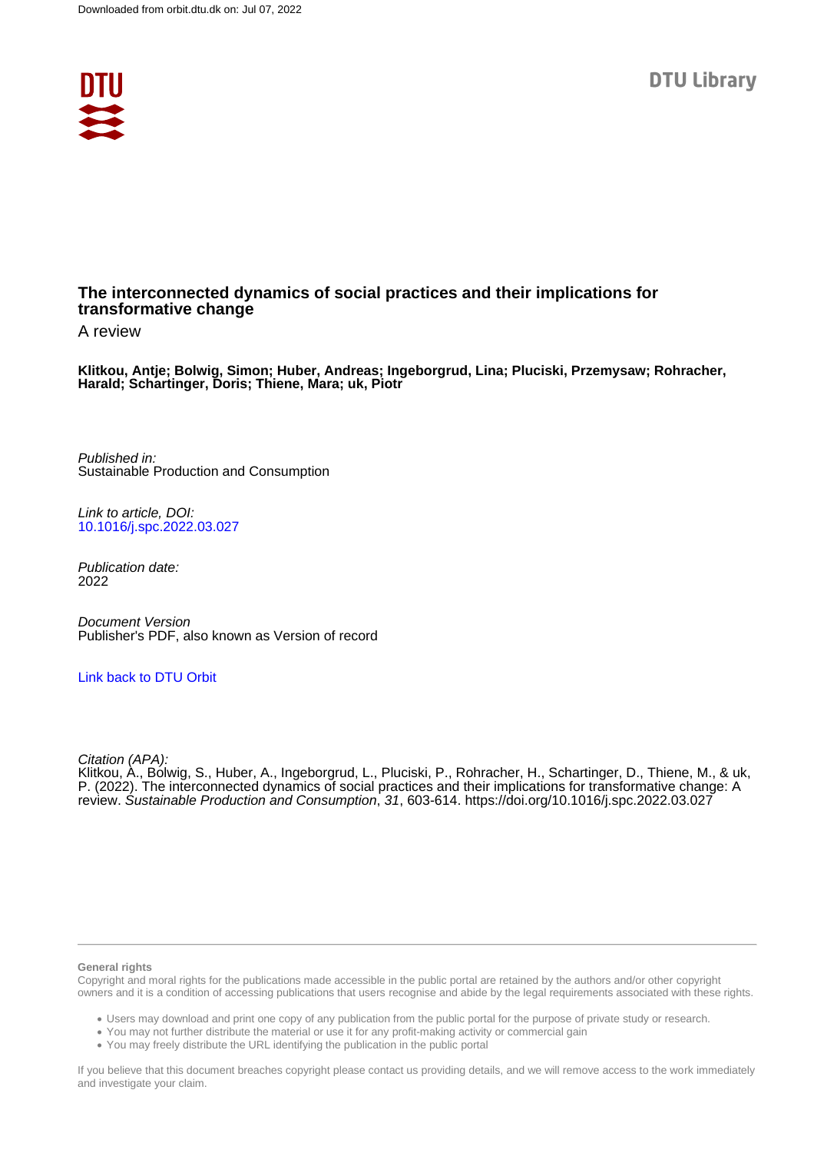

### **The interconnected dynamics of social practices and their implications for transformative change**

A review

**Klitkou, Antje; Bolwig, Simon; Huber, Andreas; Ingeborgrud, Lina; Pluciski, Przemysaw; Rohracher, Harald; Schartinger, Doris; Thiene, Mara; uk, Piotr**

Published in: Sustainable Production and Consumption

Link to article, DOI: [10.1016/j.spc.2022.03.027](https://doi.org/10.1016/j.spc.2022.03.027)

Publication date: 2022

Document Version Publisher's PDF, also known as Version of record

### [Link back to DTU Orbit](https://orbit.dtu.dk/en/publications/29f28b65-45b4-4b07-b422-69c3ac5a3b43)

Citation (APA):

Klitkou, A., Bolwig, S., Huber, A., Ingeborgrud, L., Pluciski, P., Rohracher, H., Schartinger, D., Thiene, M., & uk, P. (2022). The interconnected dynamics of social practices and their implications for transformative change: A review. Sustainable Production and Consumption, 31, 603-614. <https://doi.org/10.1016/j.spc.2022.03.027>

#### **General rights**

Copyright and moral rights for the publications made accessible in the public portal are retained by the authors and/or other copyright owners and it is a condition of accessing publications that users recognise and abide by the legal requirements associated with these rights.

Users may download and print one copy of any publication from the public portal for the purpose of private study or research.

- You may not further distribute the material or use it for any profit-making activity or commercial gain
- You may freely distribute the URL identifying the publication in the public portal

If you believe that this document breaches copyright please contact us providing details, and we will remove access to the work immediately and investigate your claim.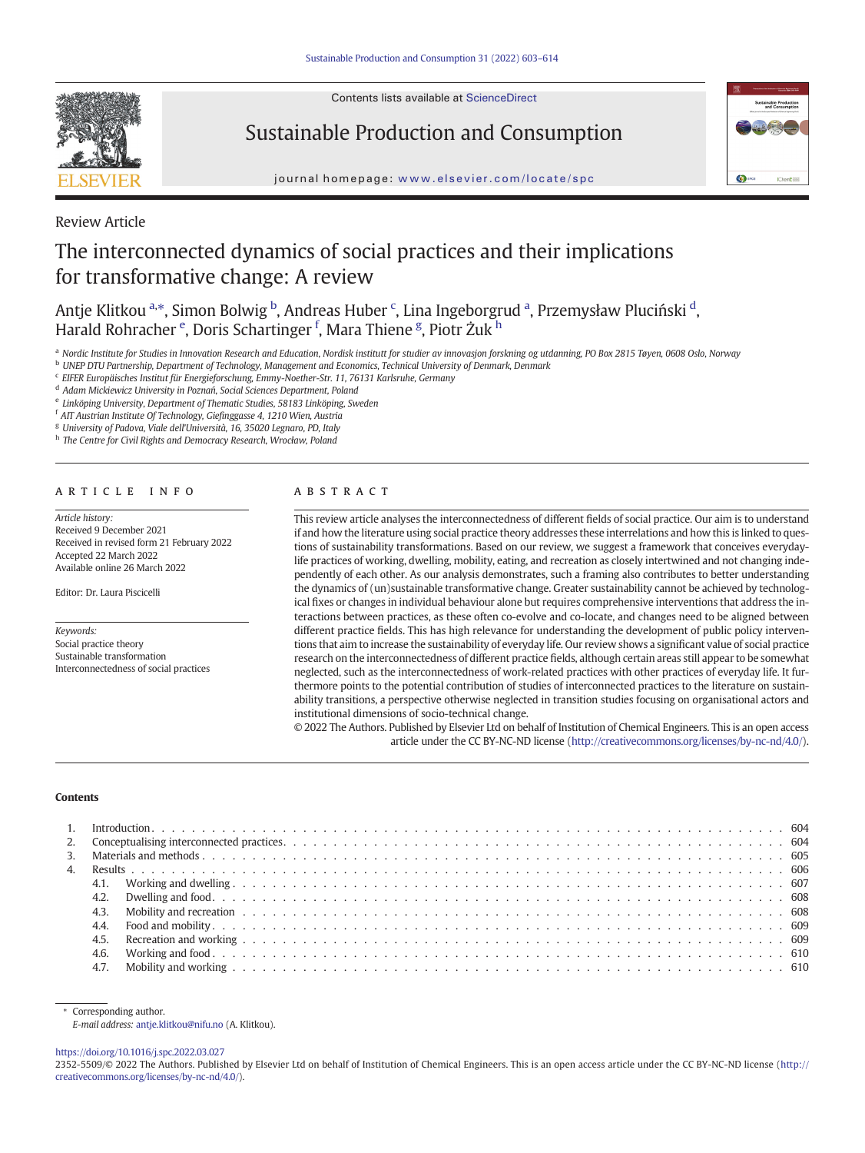

Contents lists available at ScienceDirect

## Sustainable Production and Consumption



journal homepage: <www.elsevier.com/locate/spc>

Review Article

# The interconnected dynamics of social practices and their implications for transformative change: A review

Antje Klitkou <sup>a,</sup>\*, Simon Bolwig <sup>b</sup>, Andreas Huber <sup>c</sup>, Lina Ingeborgrud <sup>a</sup>, Przemysław Pluciński <sup>d</sup>, Harald Rohracher <sup>e</sup>, Doris Schartinger <sup>f</sup>, Mara Thiene <sup>g</sup>, Piotr Żuk <sup>h</sup>

a Nordic Institute for Studies in Innovation Research and Education, Nordisk institutt for studier av innovasjon forskning og utdanning, PO Box 2815 Tøyen, 0608 Oslo, Norway

<sup>b</sup> UNEP DTU Partnership, Department of Technology, Management and Economics, Technical University of Denmark, Denmark

<sup>c</sup> EIFER Europäisches Institut für Energieforschung, Emmy-Noether-Str. 11, 76131 Karlsruhe, Germany

<sup>d</sup> Adam Mickiewicz University in Poznań, Social Sciences Department, Poland

<sup>e</sup> Linköping University, Department of Thematic Studies, 58183 Linköping, Sweden

<sup>f</sup> AIT Austrian Institute Of Technology, Giefinggasse 4, 1210 Wien, Austria

<sup>g</sup> University of Padova, Viale dell'Università, 16, 35020 Legnaro, PD, Italy

h The Centre for Civil Rights and Democracy Research, Wrocław, Poland

#### article info abstract

Article history: Received 9 December 2021 Received in revised form 21 February 2022 Accepted 22 March 2022 Available online 26 March 2022

Editor: Dr. Laura Piscicelli

Keywords: Social practice theory Sustainable transformation Interconnectedness of social practices

This review article analyses the interconnectedness of different fields of social practice. Our aim is to understand if and how the literature using social practice theory addresses these interrelations and how this is linked to questions of sustainability transformations. Based on our review, we suggest a framework that conceives everydaylife practices of working, dwelling, mobility, eating, and recreation as closely intertwined and not changing independently of each other. As our analysis demonstrates, such a framing also contributes to better understanding the dynamics of (un)sustainable transformative change. Greater sustainability cannot be achieved by technological fixes or changes in individual behaviour alone but requires comprehensive interventions that address the interactions between practices, as these often co-evolve and co-locate, and changes need to be aligned between different practice fields. This has high relevance for understanding the development of public policy interventions that aim to increase the sustainability of everyday life. Our review shows a significant value of social practice research on the interconnectedness of different practice fields, although certain areas still appear to be somewhat neglected, such as the interconnectedness of work-related practices with other practices of everyday life. It furthermore points to the potential contribution of studies of interconnected practices to the literature on sustainability transitions, a perspective otherwise neglected in transition studies focusing on organisational actors and institutional dimensions of socio-technical change.

© 2022 The Authors. Published by Elsevier Ltd on behalf of Institution of Chemical Engineers. This is an open access article under the CC BY-NC-ND license ([http://creativecommons.org/licenses/by-nc-nd/4.0/\)](http://creativecommons.org/licenses/by-nc-nd/4.0/).

#### **Contents**

| 3. |      |  |  |  |  |  |  |  |  |  |  |  |  |  |  |  |  |  |  |
|----|------|--|--|--|--|--|--|--|--|--|--|--|--|--|--|--|--|--|--|
|    |      |  |  |  |  |  |  |  |  |  |  |  |  |  |  |  |  |  |  |
|    |      |  |  |  |  |  |  |  |  |  |  |  |  |  |  |  |  |  |  |
|    | 4.2. |  |  |  |  |  |  |  |  |  |  |  |  |  |  |  |  |  |  |
|    |      |  |  |  |  |  |  |  |  |  |  |  |  |  |  |  |  |  |  |
|    | 4.4. |  |  |  |  |  |  |  |  |  |  |  |  |  |  |  |  |  |  |
|    | 4.5. |  |  |  |  |  |  |  |  |  |  |  |  |  |  |  |  |  |  |
|    | 4.6. |  |  |  |  |  |  |  |  |  |  |  |  |  |  |  |  |  |  |
|    | 4.7. |  |  |  |  |  |  |  |  |  |  |  |  |  |  |  |  |  |  |

E-mail address: [antje.klitkou@nifu.no](mailto:antje.klitkou@nifu.no) (A. Klitkou).

<https://doi.org/10.1016/j.spc.2022.03.027>

2352-5509/© 2022 The Authors. Published by Elsevier Ltd on behalf of Institution of Chemical Engineers. This is an open access article under the CC BY-NC-ND license ([http://](http://creativecommons.org/licenses/by-nc-nd/4.0/) [creativecommons.org/licenses/by-nc-nd/4.0/](http://creativecommons.org/licenses/by-nc-nd/4.0/)).

Corresponding author.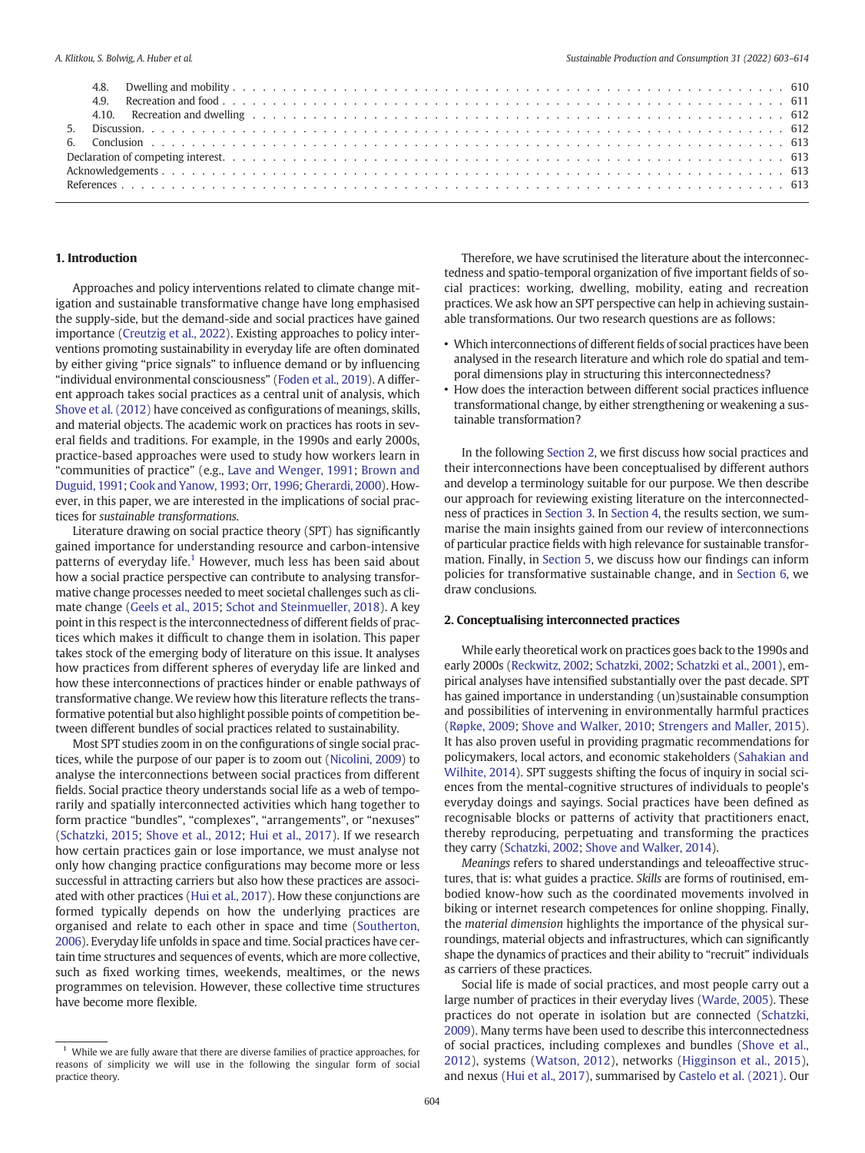#### 1. Introduction

Approaches and policy interventions related to climate change mitigation and sustainable transformative change have long emphasised the supply-side, but the demand-side and social practices have gained importance ([Creutzig et al., 2022](#page-11-0)). Existing approaches to policy interventions promoting sustainability in everyday life are often dominated by either giving "price signals" to influence demand or by influencing "individual environmental consciousness" [\(Foden et al., 2019](#page-11-0)). A different approach takes social practices as a central unit of analysis, which [Shove et al. \(2012\)](#page-12-0) have conceived as configurations of meanings, skills, and material objects. The academic work on practices has roots in several fields and traditions. For example, in the 1990s and early 2000s, practice-based approaches were used to study how workers learn in "communities of practice" (e.g., [Lave and Wenger, 1991;](#page-12-0) [Brown and](#page-11-0) [Duguid, 1991](#page-11-0); [Cook and Yanow, 1993;](#page-11-0) [Orr, 1996;](#page-12-0) [Gherardi, 2000](#page-11-0)). However, in this paper, we are interested in the implications of social practices for sustainable transformations.

Literature drawing on social practice theory (SPT) has significantly gained importance for understanding resource and carbon-intensive patterns of everyday life.<sup>1</sup> However, much less has been said about how a social practice perspective can contribute to analysing transformative change processes needed to meet societal challenges such as climate change ([Geels et al., 2015;](#page-11-0) [Schot and Steinmueller, 2018\)](#page-12-0). A key point in this respect is the interconnectedness of different fields of practices which makes it difficult to change them in isolation. This paper takes stock of the emerging body of literature on this issue. It analyses how practices from different spheres of everyday life are linked and how these interconnections of practices hinder or enable pathways of transformative change. We review how this literature reflects the transformative potential but also highlight possible points of competition between different bundles of social practices related to sustainability.

Most SPT studies zoom in on the configurations of single social practices, while the purpose of our paper is to zoom out [\(Nicolini, 2009](#page-12-0)) to analyse the interconnections between social practices from different fields. Social practice theory understands social life as a web of temporarily and spatially interconnected activities which hang together to form practice "bundles", "complexes", "arrangements", or "nexuses" ([Schatzki, 2015](#page-12-0); [Shove et al., 2012;](#page-12-0) [Hui et al., 2017\)](#page-11-0). If we research how certain practices gain or lose importance, we must analyse not only how changing practice configurations may become more or less successful in attracting carriers but also how these practices are associated with other practices [\(Hui et al., 2017](#page-11-0)). How these conjunctions are formed typically depends on how the underlying practices are organised and relate to each other in space and time [\(Southerton,](#page-12-0) [2006\)](#page-12-0). Everyday life unfolds in space and time. Social practices have certain time structures and sequences of events, which are more collective, such as fixed working times, weekends, mealtimes, or the news programmes on television. However, these collective time structures have become more flexible.

Therefore, we have scrutinised the literature about the interconnectedness and spatio-temporal organization of five important fields of social practices: working, dwelling, mobility, eating and recreation practices. We ask how an SPT perspective can help in achieving sustainable transformations. Our two research questions are as follows:

- Which interconnections of different fields of social practices have been analysed in the research literature and which role do spatial and temporal dimensions play in structuring this interconnectedness?
- How does the interaction between different social practices influence transformational change, by either strengthening or weakening a sustainable transformation?

In the following Section 2, we first discuss how social practices and their interconnections have been conceptualised by different authors and develop a terminology suitable for our purpose. We then describe our approach for reviewing existing literature on the interconnectedness of practices in [Section 3.](#page-3-0) In [Section 4](#page-4-0), the results section, we summarise the main insights gained from our review of interconnections of particular practice fields with high relevance for sustainable transformation. Finally, in [Section 5](#page-10-0), we discuss how our findings can inform policies for transformative sustainable change, and in [Section 6,](#page-10-0) we draw conclusions.

#### 2. Conceptualising interconnected practices

While early theoretical work on practices goes back to the 1990s and early 2000s [\(Reckwitz, 2002;](#page-12-0) [Schatzki, 2002](#page-12-0); [Schatzki et al., 2001\)](#page-12-0), empirical analyses have intensified substantially over the past decade. SPT has gained importance in understanding (un)sustainable consumption and possibilities of intervening in environmentally harmful practices ([Røpke, 2009;](#page-12-0) [Shove and Walker, 2010](#page-12-0); [Strengers and Maller, 2015\)](#page-12-0). It has also proven useful in providing pragmatic recommendations for policymakers, local actors, and economic stakeholders ([Sahakian and](#page-12-0) [Wilhite, 2014](#page-12-0)). SPT suggests shifting the focus of inquiry in social sciences from the mental-cognitive structures of individuals to people's everyday doings and sayings. Social practices have been defined as recognisable blocks or patterns of activity that practitioners enact, thereby reproducing, perpetuating and transforming the practices they carry ([Schatzki, 2002;](#page-12-0) [Shove and Walker, 2014\)](#page-12-0).

Meanings refers to shared understandings and teleoaffective structures, that is: what guides a practice. Skills are forms of routinised, embodied know-how such as the coordinated movements involved in biking or internet research competences for online shopping. Finally, the material dimension highlights the importance of the physical surroundings, material objects and infrastructures, which can significantly shape the dynamics of practices and their ability to "recruit" individuals as carriers of these practices.

Social life is made of social practices, and most people carry out a large number of practices in their everyday lives ([Warde, 2005](#page-12-0)). These practices do not operate in isolation but are connected ([Schatzki,](#page-12-0) [2009\)](#page-12-0). Many terms have been used to describe this interconnectedness of social practices, including complexes and bundles [\(Shove et al.,](#page-12-0) [2012\)](#page-12-0), systems ([Watson, 2012](#page-12-0)), networks ([Higginson et al., 2015\)](#page-11-0), and nexus ([Hui et al., 2017\)](#page-11-0), summarised by [Castelo et al. \(2021\).](#page-11-0) Our

 $1$  While we are fully aware that there are diverse families of practice approaches, for reasons of simplicity we will use in the following the singular form of social practice theory.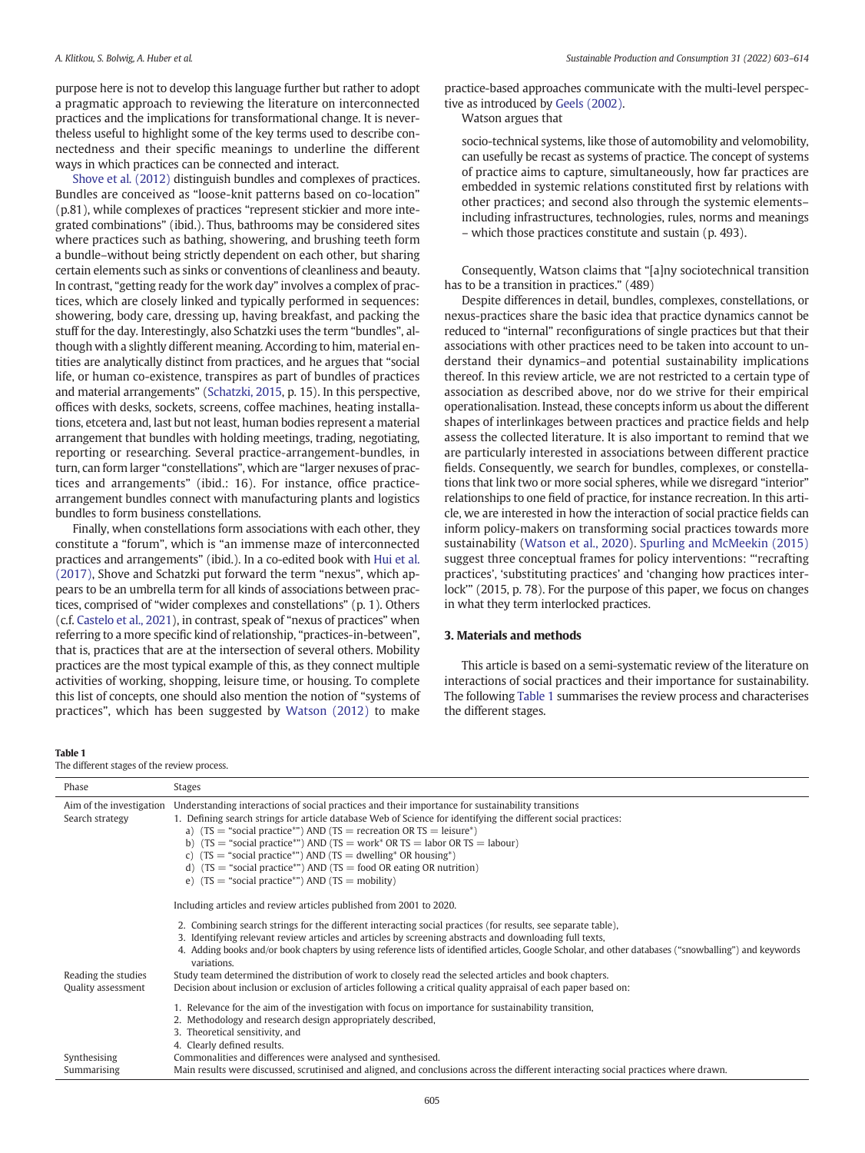<span id="page-3-0"></span>purpose here is not to develop this language further but rather to adopt a pragmatic approach to reviewing the literature on interconnected practices and the implications for transformational change. It is nevertheless useful to highlight some of the key terms used to describe connectedness and their specific meanings to underline the different ways in which practices can be connected and interact.

[Shove et al. \(2012\)](#page-12-0) distinguish bundles and complexes of practices. Bundles are conceived as "loose-knit patterns based on co-location" (p.81), while complexes of practices "represent stickier and more integrated combinations" (ibid.). Thus, bathrooms may be considered sites where practices such as bathing, showering, and brushing teeth form a bundle–without being strictly dependent on each other, but sharing certain elements such as sinks or conventions of cleanliness and beauty. In contrast, "getting ready for the work day" involves a complex of practices, which are closely linked and typically performed in sequences: showering, body care, dressing up, having breakfast, and packing the stuff for the day. Interestingly, also Schatzki uses the term "bundles", although with a slightly different meaning. According to him, material entities are analytically distinct from practices, and he argues that "social life, or human co-existence, transpires as part of bundles of practices and material arrangements" [\(Schatzki, 2015](#page-12-0), p. 15). In this perspective, offices with desks, sockets, screens, coffee machines, heating installations, etcetera and, last but not least, human bodies represent a material arrangement that bundles with holding meetings, trading, negotiating, reporting or researching. Several practice-arrangement-bundles, in turn, can form larger "constellations", which are "larger nexuses of practices and arrangements" (ibid.: 16). For instance, office practicearrangement bundles connect with manufacturing plants and logistics bundles to form business constellations.

Finally, when constellations form associations with each other, they constitute a "forum", which is "an immense maze of interconnected practices and arrangements" (ibid.). In a co-edited book with [Hui et al.](#page-11-0) [\(2017\)](#page-11-0), Shove and Schatzki put forward the term "nexus", which appears to be an umbrella term for all kinds of associations between practices, comprised of "wider complexes and constellations" (p. 1). Others (c.f. [Castelo et al., 2021](#page-11-0)), in contrast, speak of "nexus of practices" when referring to a more specific kind of relationship, "practices-in-between", that is, practices that are at the intersection of several others. Mobility practices are the most typical example of this, as they connect multiple activities of working, shopping, leisure time, or housing. To complete this list of concepts, one should also mention the notion of "systems of practices", which has been suggested by [Watson \(2012\)](#page-12-0) to make

practice-based approaches communicate with the multi-level perspective as introduced by [Geels \(2002\).](#page-11-0)

Watson argues that

socio-technical systems, like those of automobility and velomobility, can usefully be recast as systems of practice. The concept of systems of practice aims to capture, simultaneously, how far practices are embedded in systemic relations constituted first by relations with other practices; and second also through the systemic elements– including infrastructures, technologies, rules, norms and meanings – which those practices constitute and sustain (p. 493).

Consequently, Watson claims that "[a]ny sociotechnical transition has to be a transition in practices." (489)

Despite differences in detail, bundles, complexes, constellations, or nexus-practices share the basic idea that practice dynamics cannot be reduced to "internal" reconfigurations of single practices but that their associations with other practices need to be taken into account to understand their dynamics–and potential sustainability implications thereof. In this review article, we are not restricted to a certain type of association as described above, nor do we strive for their empirical operationalisation. Instead, these concepts inform us about the different shapes of interlinkages between practices and practice fields and help assess the collected literature. It is also important to remind that we are particularly interested in associations between different practice fields. Consequently, we search for bundles, complexes, or constellations that link two or more social spheres, while we disregard "interior" relationships to one field of practice, for instance recreation. In this article, we are interested in how the interaction of social practice fields can inform policy-makers on transforming social practices towards more sustainability [\(Watson et al., 2020\)](#page-12-0). [Spurling and McMeekin \(2015\)](#page-12-0) suggest three conceptual frames for policy interventions: "'recrafting practices', 'substituting practices' and 'changing how practices interlock'" (2015, p. 78). For the purpose of this paper, we focus on changes in what they term interlocked practices.

#### 3. Materials and methods

This article is based on a semi-systematic review of the literature on interactions of social practices and their importance for sustainability. The following Table 1 summarises the review process and characterises the different stages.

#### Table 1

The different stages of the review process.

| Phase                                       | <b>Stages</b>                                                                                                                                                                                                                                                                                                                                                                                                                                                                                                                                                                     |
|---------------------------------------------|-----------------------------------------------------------------------------------------------------------------------------------------------------------------------------------------------------------------------------------------------------------------------------------------------------------------------------------------------------------------------------------------------------------------------------------------------------------------------------------------------------------------------------------------------------------------------------------|
| Aim of the investigation<br>Search strategy | Understanding interactions of social practices and their importance for sustainability transitions<br>1. Defining search strings for article database Web of Science for identifying the different social practices:<br>a) $(TS = "social practice"') AND (TS = recreational OR TS = leisure")$<br>b) $(TS = "social practice"') AND (TS = work" OR TS = labor OR TS = labour)$<br>c) $(TS = "social practice"') AND (TS = dwelling" OR housing")$<br>d) $(TS = "social practice"') AND (TS = food OR eating OR nutrition)$<br>e) $(TS = "social practice"') AND (TS = mobility)$ |
|                                             | Including articles and review articles published from 2001 to 2020.                                                                                                                                                                                                                                                                                                                                                                                                                                                                                                               |
|                                             | 2. Combining search strings for the different interacting social practices (for results, see separate table),<br>3. Identifying relevant review articles and articles by screening abstracts and downloading full texts,<br>4. Adding books and/or book chapters by using reference lists of identified articles, Google Scholar, and other databases ("snowballing") and keywords<br>variations.                                                                                                                                                                                 |
| Reading the studies<br>Quality assessment   | Study team determined the distribution of work to closely read the selected articles and book chapters.<br>Decision about inclusion or exclusion of articles following a critical quality appraisal of each paper based on:                                                                                                                                                                                                                                                                                                                                                       |
|                                             | 1. Relevance for the aim of the investigation with focus on importance for sustainability transition,<br>2. Methodology and research design appropriately described,<br>3. Theoretical sensitivity, and<br>4. Clearly defined results.                                                                                                                                                                                                                                                                                                                                            |
| Synthesising<br>Summarising                 | Commonalities and differences were analysed and synthesised.<br>Main results were discussed, scrutinised and aligned, and conclusions across the different interacting social practices where drawn.                                                                                                                                                                                                                                                                                                                                                                              |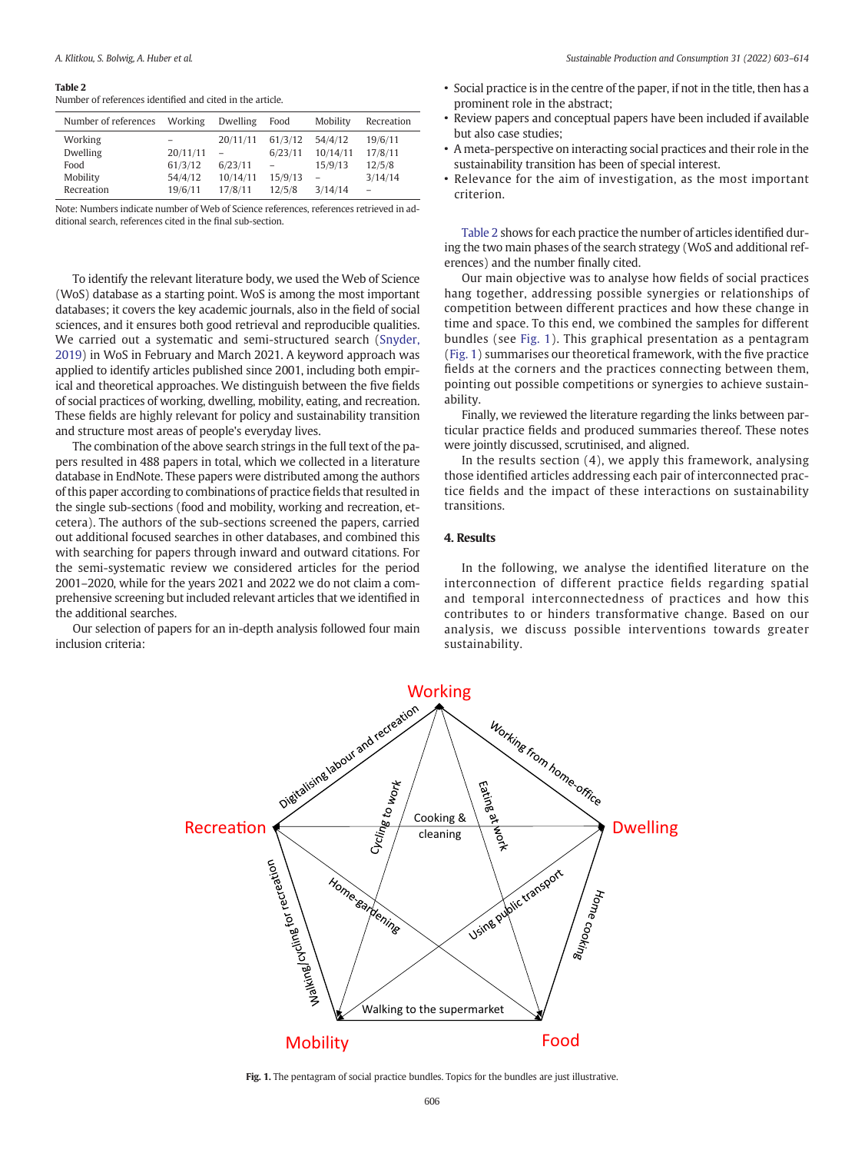#### <span id="page-4-0"></span>Table 2

Number of references identified and cited in the article.

| Number of references | Working  | Dwelling | Food    | Mobility | Recreation |
|----------------------|----------|----------|---------|----------|------------|
| Working              |          | 20/11/11 | 61/3/12 | 54/4/12  | 19/6/11    |
| Dwelling             | 20/11/11 |          | 6/23/11 | 10/14/11 | 17/8/11    |
| Food                 | 61/3/12  | 6/23/11  |         | 15/9/13  | 12/5/8     |
| Mobility             | 54/4/12  | 10/14/11 | 15/9/13 |          | 3/14/14    |
| Recreation           | 19/6/11  | 17/8/11  | 12/5/8  | 3/14/14  |            |

Note: Numbers indicate number of Web of Science references, references retrieved in additional search, references cited in the final sub-section.

To identify the relevant literature body, we used the Web of Science (WoS) database as a starting point. WoS is among the most important databases; it covers the key academic journals, also in the field of social sciences, and it ensures both good retrieval and reproducible qualities. We carried out a systematic and semi-structured search ([Snyder,](#page-12-0) [2019](#page-12-0)) in WoS in February and March 2021. A keyword approach was applied to identify articles published since 2001, including both empirical and theoretical approaches. We distinguish between the five fields of social practices of working, dwelling, mobility, eating, and recreation. These fields are highly relevant for policy and sustainability transition and structure most areas of people's everyday lives.

The combination of the above search strings in the full text of the papers resulted in 488 papers in total, which we collected in a literature database in EndNote. These papers were distributed among the authors of this paper according to combinations of practice fields that resulted in the single sub-sections (food and mobility, working and recreation, etcetera). The authors of the sub-sections screened the papers, carried out additional focused searches in other databases, and combined this with searching for papers through inward and outward citations. For the semi-systematic review we considered articles for the period 2001–2020, while for the years 2021 and 2022 we do not claim a comprehensive screening but included relevant articles that we identified in the additional searches.

Our selection of papers for an in-depth analysis followed four main inclusion criteria:

- Social practice is in the centre of the paper, if not in the title, then has a prominent role in the abstract;
- Review papers and conceptual papers have been included if available but also case studies;
- A meta-perspective on interacting social practices and their role in the sustainability transition has been of special interest.
- Relevance for the aim of investigation, as the most important criterion.

Table 2 shows for each practice the number of articles identified during the two main phases of the search strategy (WoS and additional references) and the number finally cited.

Our main objective was to analyse how fields of social practices hang together, addressing possible synergies or relationships of competition between different practices and how these change in time and space. To this end, we combined the samples for different bundles (see Fig. 1). This graphical presentation as a pentagram (Fig. 1) summarises our theoretical framework, with the five practice fields at the corners and the practices connecting between them, pointing out possible competitions or synergies to achieve sustainability.

Finally, we reviewed the literature regarding the links between particular practice fields and produced summaries thereof. These notes were jointly discussed, scrutinised, and aligned.

In the results section (4), we apply this framework, analysing those identified articles addressing each pair of interconnected practice fields and the impact of these interactions on sustainability transitions.

#### 4. Results

In the following, we analyse the identified literature on the interconnection of different practice fields regarding spatial and temporal interconnectedness of practices and how this contributes to or hinders transformative change. Based on our analysis, we discuss possible interventions towards greater sustainability.



Fig. 1. The pentagram of social practice bundles. Topics for the bundles are just illustrative.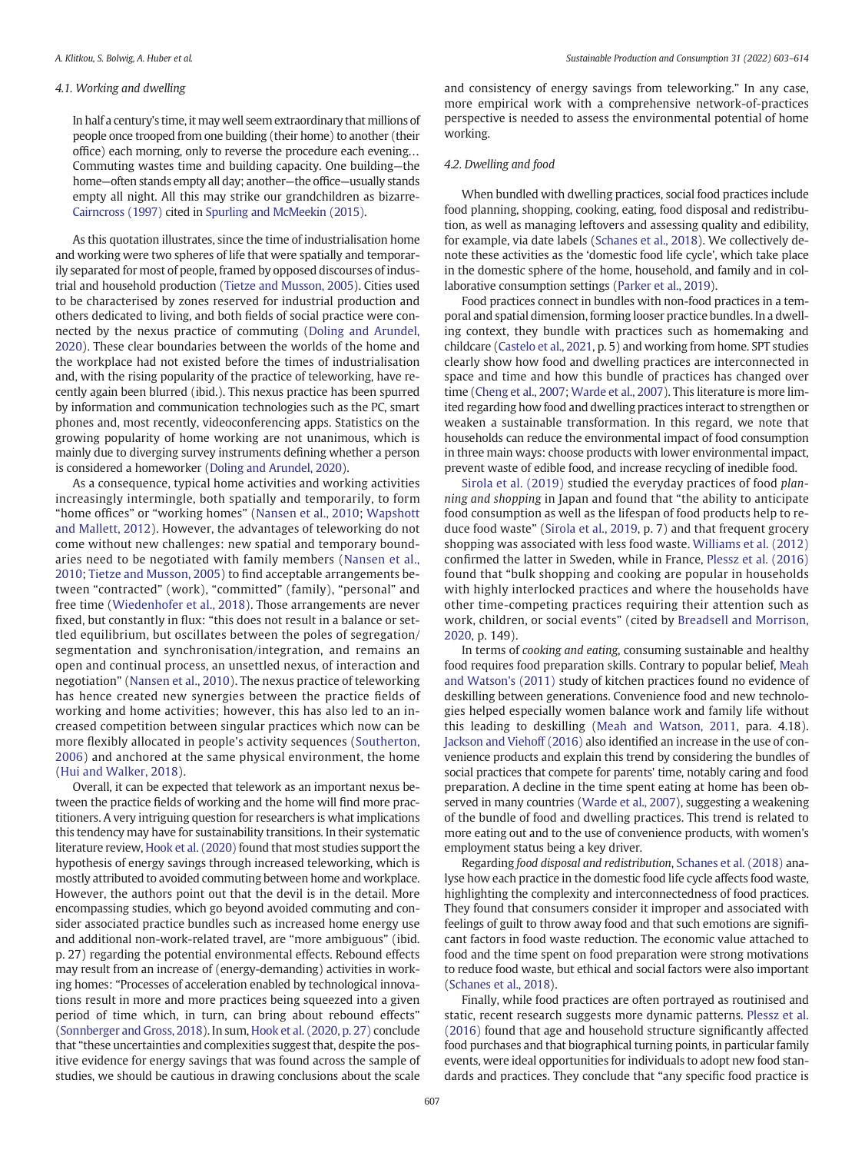#### 4.1. Working and dwelling

In half a century's time, it may well seem extraordinary that millions of people once trooped from one building (their home) to another (their office) each morning, only to reverse the procedure each evening… Commuting wastes time and building capacity. One building—the home—often stands empty all day; another—the office—usually stands empty all night. All this may strike our grandchildren as bizarre-[Cairncross \(1997\)](#page-11-0) cited in [Spurling and McMeekin \(2015\).](#page-12-0)

As this quotation illustrates, since the time of industrialisation home and working were two spheres of life that were spatially and temporarily separated for most of people, framed by opposed discourses of industrial and household production ([Tietze and Musson, 2005](#page-12-0)). Cities used to be characterised by zones reserved for industrial production and others dedicated to living, and both fields of social practice were connected by the nexus practice of commuting ([Doling and Arundel,](#page-11-0) [2020\)](#page-11-0). These clear boundaries between the worlds of the home and the workplace had not existed before the times of industrialisation and, with the rising popularity of the practice of teleworking, have recently again been blurred (ibid.). This nexus practice has been spurred by information and communication technologies such as the PC, smart phones and, most recently, videoconferencing apps. Statistics on the growing popularity of home working are not unanimous, which is mainly due to diverging survey instruments defining whether a person is considered a homeworker [\(Doling and Arundel, 2020](#page-11-0)).

As a consequence, typical home activities and working activities increasingly intermingle, both spatially and temporarily, to form "home offices" or "working homes" [\(Nansen et al., 2010;](#page-12-0) [Wapshott](#page-12-0) [and Mallett, 2012\)](#page-12-0). However, the advantages of teleworking do not come without new challenges: new spatial and temporary boundaries need to be negotiated with family members ([Nansen et al.,](#page-12-0) [2010;](#page-12-0) [Tietze and Musson, 2005\)](#page-12-0) to find acceptable arrangements between "contracted" (work), "committed" (family), "personal" and free time ([Wiedenhofer et al., 2018](#page-12-0)). Those arrangements are never fixed, but constantly in flux: "this does not result in a balance or settled equilibrium, but oscillates between the poles of segregation/ segmentation and synchronisation/integration, and remains an open and continual process, an unsettled nexus, of interaction and negotiation" [\(Nansen et al., 2010](#page-12-0)). The nexus practice of teleworking has hence created new synergies between the practice fields of working and home activities; however, this has also led to an increased competition between singular practices which now can be more flexibly allocated in people's activity sequences ([Southerton,](#page-12-0) [2006](#page-12-0)) and anchored at the same physical environment, the home ([Hui and Walker, 2018\)](#page-11-0).

Overall, it can be expected that telework as an important nexus between the practice fields of working and the home will find more practitioners. A very intriguing question for researchers is what implications this tendency may have for sustainability transitions. In their systematic literature review, [Hook et al. \(2020\)](#page-11-0) found that most studies support the hypothesis of energy savings through increased teleworking, which is mostly attributed to avoided commuting between home and workplace. However, the authors point out that the devil is in the detail. More encompassing studies, which go beyond avoided commuting and consider associated practice bundles such as increased home energy use and additional non-work-related travel, are "more ambiguous" (ibid. p. 27) regarding the potential environmental effects. Rebound effects may result from an increase of (energy-demanding) activities in working homes: "Processes of acceleration enabled by technological innovations result in more and more practices being squeezed into a given period of time which, in turn, can bring about rebound effects" ([Sonnberger and Gross, 2018](#page-12-0)). In sum, [Hook et al. \(2020, p. 27\)](#page-11-0) conclude that "these uncertainties and complexities suggest that, despite the positive evidence for energy savings that was found across the sample of studies, we should be cautious in drawing conclusions about the scale and consistency of energy savings from teleworking." In any case, more empirical work with a comprehensive network-of-practices perspective is needed to assess the environmental potential of home working.

#### 4.2. Dwelling and food

When bundled with dwelling practices, social food practices include food planning, shopping, cooking, eating, food disposal and redistribution, as well as managing leftovers and assessing quality and edibility, for example, via date labels [\(Schanes et al., 2018](#page-12-0)). We collectively denote these activities as the 'domestic food life cycle', which take place in the domestic sphere of the home, household, and family and in collaborative consumption settings [\(Parker et al., 2019](#page-12-0)).

Food practices connect in bundles with non-food practices in a temporal and spatial dimension, forming looser practice bundles. In a dwelling context, they bundle with practices such as homemaking and childcare [\(Castelo et al., 2021](#page-11-0), p. 5) and working from home. SPT studies clearly show how food and dwelling practices are interconnected in space and time and how this bundle of practices has changed over time ([Cheng et al., 2007](#page-11-0); [Warde et al., 2007\)](#page-12-0). This literature is more limited regarding how food and dwelling practices interact to strengthen or weaken a sustainable transformation. In this regard, we note that households can reduce the environmental impact of food consumption in three main ways: choose products with lower environmental impact, prevent waste of edible food, and increase recycling of inedible food.

[Sirola et al. \(2019\)](#page-12-0) studied the everyday practices of food planning and shopping in Japan and found that "the ability to anticipate food consumption as well as the lifespan of food products help to reduce food waste" ([Sirola et al., 2019](#page-12-0), p. 7) and that frequent grocery shopping was associated with less food waste. [Williams et al. \(2012\)](#page-12-0) confirmed the latter in Sweden, while in France, [Plessz et al. \(2016\)](#page-12-0) found that "bulk shopping and cooking are popular in households with highly interlocked practices and where the households have other time-competing practices requiring their attention such as work, children, or social events" (cited by [Breadsell and Morrison,](#page-11-0) [2020,](#page-11-0) p. 149).

In terms of cooking and eating, consuming sustainable and healthy food requires food preparation skills. Contrary to popular belief, [Meah](#page-12-0) [and Watson's \(2011\)](#page-12-0) study of kitchen practices found no evidence of deskilling between generations. Convenience food and new technologies helped especially women balance work and family life without this leading to deskilling [\(Meah and Watson, 2011](#page-12-0), para. 4.18). [Jackson and Viehoff \(2016\)](#page-12-0) also identified an increase in the use of convenience products and explain this trend by considering the bundles of social practices that compete for parents' time, notably caring and food preparation. A decline in the time spent eating at home has been observed in many countries [\(Warde et al., 2007](#page-12-0)), suggesting a weakening of the bundle of food and dwelling practices. This trend is related to more eating out and to the use of convenience products, with women's employment status being a key driver.

Regarding food disposal and redistribution, [Schanes et al. \(2018\)](#page-12-0) analyse how each practice in the domestic food life cycle affects food waste, highlighting the complexity and interconnectedness of food practices. They found that consumers consider it improper and associated with feelings of guilt to throw away food and that such emotions are significant factors in food waste reduction. The economic value attached to food and the time spent on food preparation were strong motivations to reduce food waste, but ethical and social factors were also important ([Schanes et al., 2018\)](#page-12-0).

Finally, while food practices are often portrayed as routinised and static, recent research suggests more dynamic patterns. [Plessz et al.](#page-12-0) [\(2016\)](#page-12-0) found that age and household structure significantly affected food purchases and that biographical turning points, in particular family events, were ideal opportunities for individuals to adopt new food standards and practices. They conclude that "any specific food practice is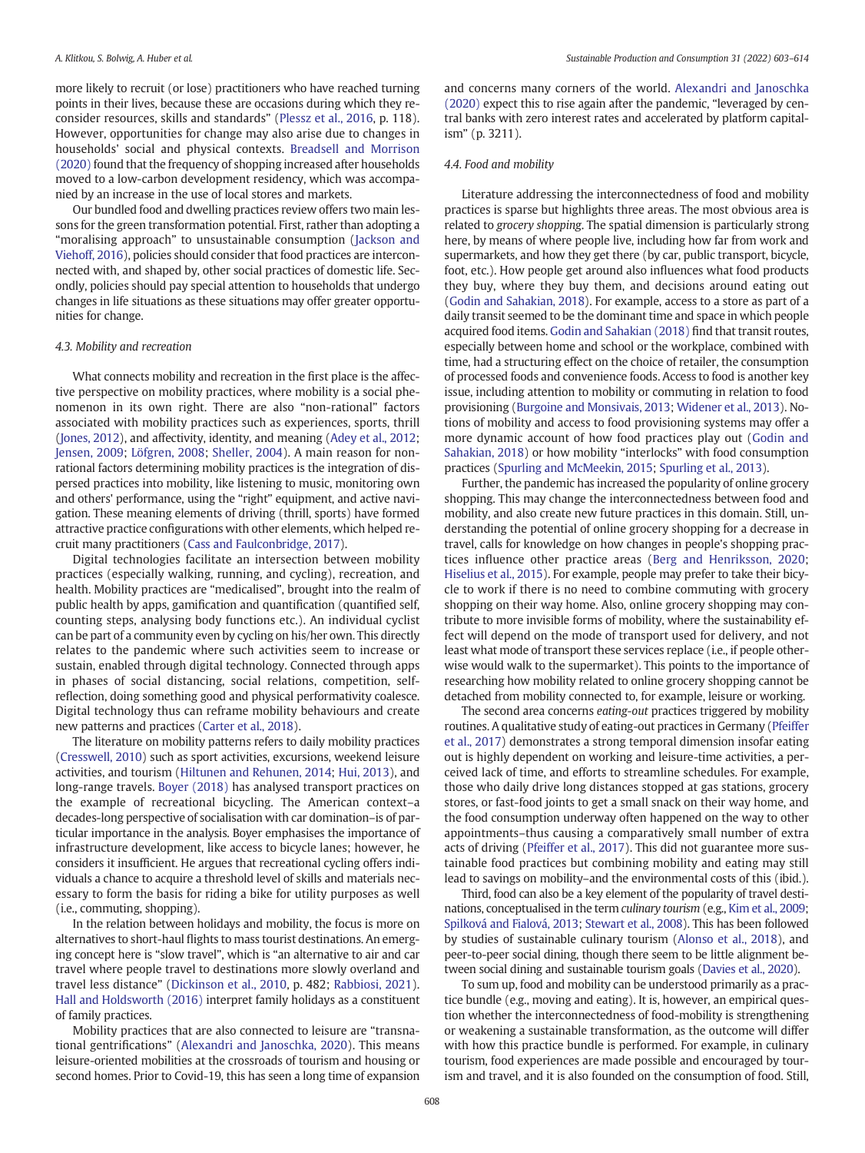more likely to recruit (or lose) practitioners who have reached turning points in their lives, because these are occasions during which they reconsider resources, skills and standards" ([Plessz et al., 2016,](#page-12-0) p. 118). However, opportunities for change may also arise due to changes in households' social and physical contexts. [Breadsell and Morrison](#page-11-0) [\(2020\)](#page-11-0) found that the frequency of shopping increased after households moved to a low-carbon development residency, which was accompanied by an increase in the use of local stores and markets.

Our bundled food and dwelling practices review offers two main lessons for the green transformation potential. First, rather than adopting a "moralising approach" to unsustainable consumption ([Jackson and](#page-12-0) [Viehoff, 2016\)](#page-12-0), policies should consider that food practices are interconnected with, and shaped by, other social practices of domestic life. Secondly, policies should pay special attention to households that undergo changes in life situations as these situations may offer greater opportunities for change.

#### 4.3. Mobility and recreation

What connects mobility and recreation in the first place is the affective perspective on mobility practices, where mobility is a social phenomenon in its own right. There are also "non-rational" factors associated with mobility practices such as experiences, sports, thrill ([Jones, 2012](#page-12-0)), and affectivity, identity, and meaning ([Adey et al., 2012](#page-11-0); [Jensen, 2009](#page-12-0); [Löfgren, 2008](#page-12-0); [Sheller, 2004\)](#page-12-0). A main reason for nonrational factors determining mobility practices is the integration of dispersed practices into mobility, like listening to music, monitoring own and others' performance, using the "right" equipment, and active navigation. These meaning elements of driving (thrill, sports) have formed attractive practice configurations with other elements, which helped recruit many practitioners [\(Cass and Faulconbridge, 2017](#page-11-0)).

Digital technologies facilitate an intersection between mobility practices (especially walking, running, and cycling), recreation, and health. Mobility practices are "medicalised", brought into the realm of public health by apps, gamification and quantification (quantified self, counting steps, analysing body functions etc.). An individual cyclist can be part of a community even by cycling on his/her own. This directly relates to the pandemic where such activities seem to increase or sustain, enabled through digital technology. Connected through apps in phases of social distancing, social relations, competition, selfreflection, doing something good and physical performativity coalesce. Digital technology thus can reframe mobility behaviours and create new patterns and practices ([Carter et al., 2018](#page-11-0)).

The literature on mobility patterns refers to daily mobility practices ([Cresswell, 2010\)](#page-11-0) such as sport activities, excursions, weekend leisure activities, and tourism [\(Hiltunen and Rehunen, 2014](#page-11-0); [Hui, 2013](#page-11-0)), and long-range travels. [Boyer \(2018\)](#page-11-0) has analysed transport practices on the example of recreational bicycling. The American context–a decades-long perspective of socialisation with car domination–is of particular importance in the analysis. Boyer emphasises the importance of infrastructure development, like access to bicycle lanes; however, he considers it insufficient. He argues that recreational cycling offers individuals a chance to acquire a threshold level of skills and materials necessary to form the basis for riding a bike for utility purposes as well (i.e., commuting, shopping).

In the relation between holidays and mobility, the focus is more on alternatives to short-haul flights to mass tourist destinations. An emerging concept here is "slow travel", which is "an alternative to air and car travel where people travel to destinations more slowly overland and travel less distance" ([Dickinson et al., 2010,](#page-11-0) p. 482; [Rabbiosi, 2021\)](#page-12-0). [Hall and Holdsworth \(2016\)](#page-11-0) interpret family holidays as a constituent of family practices.

Mobility practices that are also connected to leisure are "transnational gentrifications" ([Alexandri and Janoschka, 2020](#page-11-0)). This means leisure-oriented mobilities at the crossroads of tourism and housing or second homes. Prior to Covid-19, this has seen a long time of expansion and concerns many corners of the world. [Alexandri and Janoschka](#page-11-0) [\(2020\)](#page-11-0) expect this to rise again after the pandemic, "leveraged by central banks with zero interest rates and accelerated by platform capitalism" (p. 3211).

#### 4.4. Food and mobility

Literature addressing the interconnectedness of food and mobility practices is sparse but highlights three areas. The most obvious area is related to grocery shopping. The spatial dimension is particularly strong here, by means of where people live, including how far from work and supermarkets, and how they get there (by car, public transport, bicycle, foot, etc.). How people get around also influences what food products they buy, where they buy them, and decisions around eating out ([Godin and Sahakian, 2018\)](#page-11-0). For example, access to a store as part of a daily transit seemed to be the dominant time and space in which people acquired food items. [Godin and Sahakian \(2018\)](#page-11-0) find that transit routes, especially between home and school or the workplace, combined with time, had a structuring effect on the choice of retailer, the consumption of processed foods and convenience foods. Access to food is another key issue, including attention to mobility or commuting in relation to food provisioning ([Burgoine and Monsivais, 2013;](#page-11-0) [Widener et al., 2013\)](#page-12-0). Notions of mobility and access to food provisioning systems may offer a more dynamic account of how food practices play out [\(Godin and](#page-11-0) [Sahakian, 2018\)](#page-11-0) or how mobility "interlocks" with food consumption practices [\(Spurling and McMeekin, 2015;](#page-12-0) [Spurling et al., 2013\)](#page-12-0).

Further, the pandemic has increased the popularity of online grocery shopping. This may change the interconnectedness between food and mobility, and also create new future practices in this domain. Still, understanding the potential of online grocery shopping for a decrease in travel, calls for knowledge on how changes in people's shopping practices influence other practice areas ([Berg and Henriksson, 2020](#page-11-0); [Hiselius et al., 2015\)](#page-11-0). For example, people may prefer to take their bicycle to work if there is no need to combine commuting with grocery shopping on their way home. Also, online grocery shopping may contribute to more invisible forms of mobility, where the sustainability effect will depend on the mode of transport used for delivery, and not least what mode of transport these services replace (i.e., if people otherwise would walk to the supermarket). This points to the importance of researching how mobility related to online grocery shopping cannot be detached from mobility connected to, for example, leisure or working.

The second area concerns eating-out practices triggered by mobility routines. A qualitative study of eating-out practices in Germany ([Pfeiffer](#page-12-0) [et al., 2017](#page-12-0)) demonstrates a strong temporal dimension insofar eating out is highly dependent on working and leisure-time activities, a perceived lack of time, and efforts to streamline schedules. For example, those who daily drive long distances stopped at gas stations, grocery stores, or fast-food joints to get a small snack on their way home, and the food consumption underway often happened on the way to other appointments–thus causing a comparatively small number of extra acts of driving [\(Pfeiffer et al., 2017](#page-12-0)). This did not guarantee more sustainable food practices but combining mobility and eating may still lead to savings on mobility–and the environmental costs of this (ibid.).

Third, food can also be a key element of the popularity of travel destinations, conceptualised in the term culinary tourism (e.g., [Kim et al., 2009](#page-12-0); [Spilková and Fialová, 2013](#page-12-0); [Stewart et al., 2008](#page-12-0)). This has been followed by studies of sustainable culinary tourism ([Alonso et al., 2018](#page-11-0)), and peer-to-peer social dining, though there seem to be little alignment between social dining and sustainable tourism goals ([Davies et al., 2020](#page-11-0)).

To sum up, food and mobility can be understood primarily as a practice bundle (e.g., moving and eating). It is, however, an empirical question whether the interconnectedness of food-mobility is strengthening or weakening a sustainable transformation, as the outcome will differ with how this practice bundle is performed. For example, in culinary tourism, food experiences are made possible and encouraged by tourism and travel, and it is also founded on the consumption of food. Still,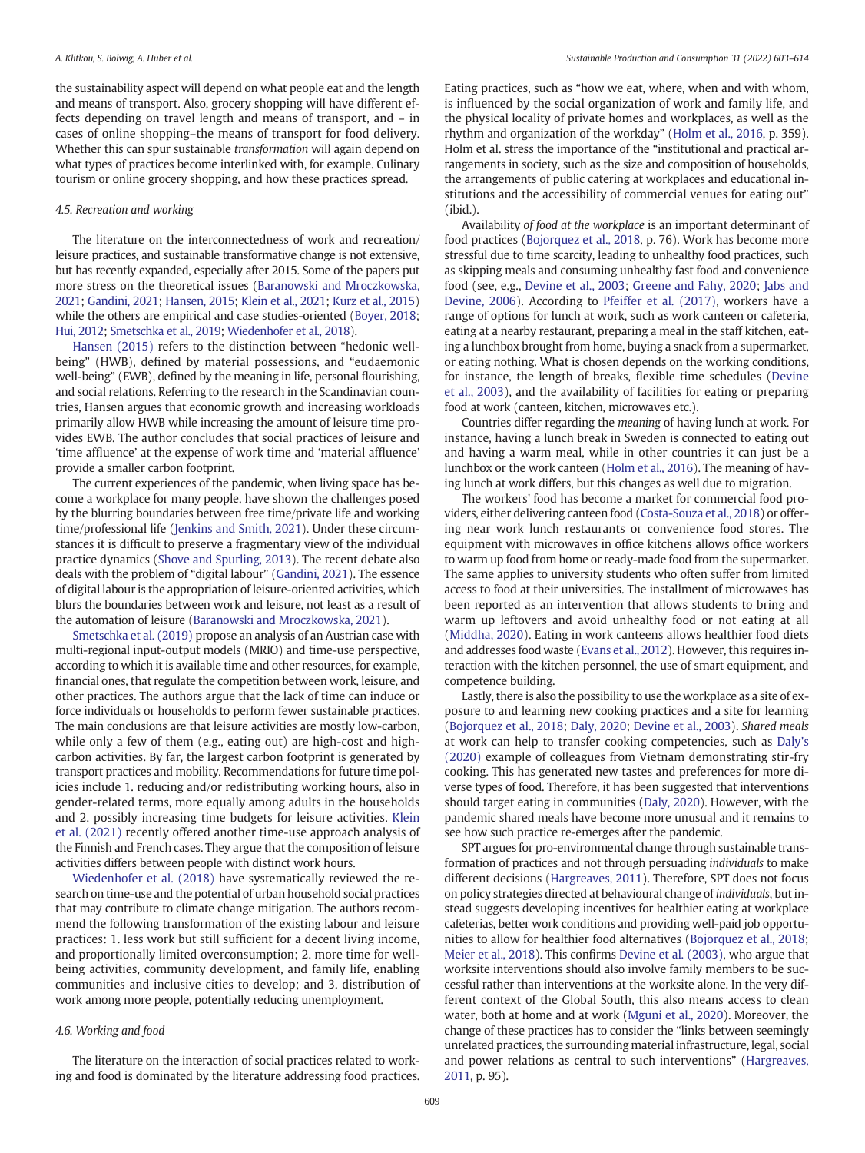the sustainability aspect will depend on what people eat and the length and means of transport. Also, grocery shopping will have different effects depending on travel length and means of transport, and – in cases of online shopping–the means of transport for food delivery. Whether this can spur sustainable transformation will again depend on what types of practices become interlinked with, for example. Culinary tourism or online grocery shopping, and how these practices spread.

#### 4.5. Recreation and working

The literature on the interconnectedness of work and recreation/ leisure practices, and sustainable transformative change is not extensive, but has recently expanded, especially after 2015. Some of the papers put more stress on the theoretical issues ([Baranowski and Mroczkowska,](#page-11-0) [2021;](#page-11-0) [Gandini, 2021](#page-11-0); [Hansen, 2015;](#page-11-0) [Klein et al., 2021](#page-12-0); [Kurz et al., 2015\)](#page-12-0) while the others are empirical and case studies-oriented [\(Boyer, 2018](#page-11-0); [Hui, 2012](#page-11-0); [Smetschka et al., 2019](#page-12-0); [Wiedenhofer et al., 2018](#page-12-0)).

[Hansen \(2015\)](#page-11-0) refers to the distinction between "hedonic wellbeing" (HWB), defined by material possessions, and "eudaemonic well-being" (EWB), defined by the meaning in life, personal flourishing, and social relations. Referring to the research in the Scandinavian countries, Hansen argues that economic growth and increasing workloads primarily allow HWB while increasing the amount of leisure time provides EWB. The author concludes that social practices of leisure and 'time affluence' at the expense of work time and 'material affluence' provide a smaller carbon footprint.

The current experiences of the pandemic, when living space has become a workplace for many people, have shown the challenges posed by the blurring boundaries between free time/private life and working time/professional life [\(Jenkins and Smith, 2021\)](#page-12-0). Under these circumstances it is difficult to preserve a fragmentary view of the individual practice dynamics ([Shove and Spurling, 2013\)](#page-12-0). The recent debate also deals with the problem of "digital labour" [\(Gandini, 2021\)](#page-11-0). The essence of digital labour is the appropriation of leisure-oriented activities, which blurs the boundaries between work and leisure, not least as a result of the automation of leisure [\(Baranowski and Mroczkowska, 2021\)](#page-11-0).

[Smetschka et al. \(2019\)](#page-12-0) propose an analysis of an Austrian case with multi-regional input-output models (MRIO) and time-use perspective, according to which it is available time and other resources, for example, financial ones, that regulate the competition between work, leisure, and other practices. The authors argue that the lack of time can induce or force individuals or households to perform fewer sustainable practices. The main conclusions are that leisure activities are mostly low-carbon, while only a few of them (e.g., eating out) are high-cost and highcarbon activities. By far, the largest carbon footprint is generated by transport practices and mobility. Recommendations for future time policies include 1. reducing and/or redistributing working hours, also in gender-related terms, more equally among adults in the households and 2. possibly increasing time budgets for leisure activities. [Klein](#page-12-0) [et al. \(2021\)](#page-12-0) recently offered another time-use approach analysis of the Finnish and French cases. They argue that the composition of leisure activities differs between people with distinct work hours.

[Wiedenhofer et al. \(2018\)](#page-12-0) have systematically reviewed the research on time-use and the potential of urban household social practices that may contribute to climate change mitigation. The authors recommend the following transformation of the existing labour and leisure practices: 1. less work but still sufficient for a decent living income, and proportionally limited overconsumption; 2. more time for wellbeing activities, community development, and family life, enabling communities and inclusive cities to develop; and 3. distribution of work among more people, potentially reducing unemployment.

#### 4.6. Working and food

The literature on the interaction of social practices related to working and food is dominated by the literature addressing food practices. Eating practices, such as "how we eat, where, when and with whom, is influenced by the social organization of work and family life, and the physical locality of private homes and workplaces, as well as the rhythm and organization of the workday" ([Holm et al., 2016](#page-11-0), p. 359). Holm et al. stress the importance of the "institutional and practical arrangements in society, such as the size and composition of households, the arrangements of public catering at workplaces and educational institutions and the accessibility of commercial venues for eating out" (ibid.).

Availability of food at the workplace is an important determinant of food practices ([Bojorquez et al., 2018](#page-11-0), p. 76). Work has become more stressful due to time scarcity, leading to unhealthy food practices, such as skipping meals and consuming unhealthy fast food and convenience food (see, e.g., [Devine et al., 2003;](#page-11-0) [Greene and Fahy, 2020](#page-11-0); [Jabs and](#page-12-0) [Devine, 2006\)](#page-12-0). According to [Pfeiffer et al. \(2017\)](#page-12-0), workers have a range of options for lunch at work, such as work canteen or cafeteria, eating at a nearby restaurant, preparing a meal in the staff kitchen, eating a lunchbox brought from home, buying a snack from a supermarket, or eating nothing. What is chosen depends on the working conditions, for instance, the length of breaks, flexible time schedules [\(Devine](#page-11-0) [et al., 2003](#page-11-0)), and the availability of facilities for eating or preparing food at work (canteen, kitchen, microwaves etc.).

Countries differ regarding the meaning of having lunch at work. For instance, having a lunch break in Sweden is connected to eating out and having a warm meal, while in other countries it can just be a lunchbox or the work canteen ([Holm et al., 2016](#page-11-0)). The meaning of having lunch at work differs, but this changes as well due to migration.

The workers' food has become a market for commercial food providers, either delivering canteen food [\(Costa-Souza et al., 2018](#page-11-0)) or offering near work lunch restaurants or convenience food stores. The equipment with microwaves in office kitchens allows office workers to warm up food from home or ready-made food from the supermarket. The same applies to university students who often suffer from limited access to food at their universities. The installment of microwaves has been reported as an intervention that allows students to bring and warm up leftovers and avoid unhealthy food or not eating at all ([Middha, 2020\)](#page-12-0). Eating in work canteens allows healthier food diets and addresses food waste [\(Evans et al., 2012\)](#page-11-0). However, this requires interaction with the kitchen personnel, the use of smart equipment, and competence building.

Lastly, there is also the possibility to use the workplace as a site of exposure to and learning new cooking practices and a site for learning ([Bojorquez et al., 2018](#page-11-0); [Daly, 2020](#page-11-0); [Devine et al., 2003](#page-11-0)). Shared meals at work can help to transfer cooking competencies, such as [Daly's](#page-11-0) [\(2020\)](#page-11-0) example of colleagues from Vietnam demonstrating stir-fry cooking. This has generated new tastes and preferences for more diverse types of food. Therefore, it has been suggested that interventions should target eating in communities ([Daly, 2020\)](#page-11-0). However, with the pandemic shared meals have become more unusual and it remains to see how such practice re-emerges after the pandemic.

SPT argues for pro-environmental change through sustainable transformation of practices and not through persuading individuals to make different decisions [\(Hargreaves, 2011](#page-11-0)). Therefore, SPT does not focus on policy strategies directed at behavioural change of individuals, but instead suggests developing incentives for healthier eating at workplace cafeterias, better work conditions and providing well-paid job opportunities to allow for healthier food alternatives [\(Bojorquez et al., 2018](#page-11-0); [Meier et al., 2018](#page-12-0)). This confirms [Devine et al. \(2003\)](#page-11-0), who argue that worksite interventions should also involve family members to be successful rather than interventions at the worksite alone. In the very different context of the Global South, this also means access to clean water, both at home and at work [\(Mguni et al., 2020](#page-12-0)). Moreover, the change of these practices has to consider the "links between seemingly unrelated practices, the surrounding material infrastructure, legal, social and power relations as central to such interventions" ([Hargreaves,](#page-11-0) [2011,](#page-11-0) p. 95).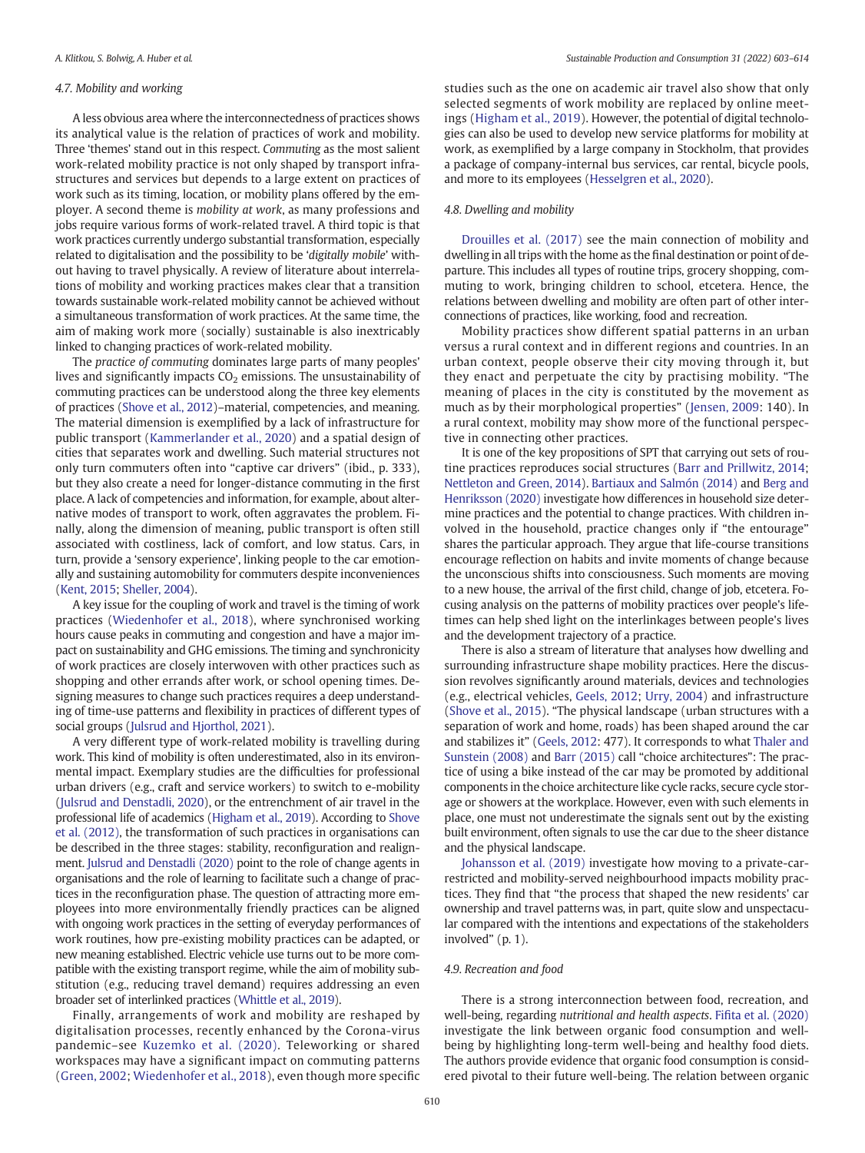#### 4.7. Mobility and working

A less obvious area where the interconnectedness of practices shows its analytical value is the relation of practices of work and mobility. Three 'themes' stand out in this respect. Commuting as the most salient work-related mobility practice is not only shaped by transport infrastructures and services but depends to a large extent on practices of work such as its timing, location, or mobility plans offered by the employer. A second theme is mobility at work, as many professions and jobs require various forms of work-related travel. A third topic is that work practices currently undergo substantial transformation, especially related to digitalisation and the possibility to be 'digitally mobile' without having to travel physically. A review of literature about interrelations of mobility and working practices makes clear that a transition towards sustainable work-related mobility cannot be achieved without a simultaneous transformation of work practices. At the same time, the aim of making work more (socially) sustainable is also inextricably linked to changing practices of work-related mobility.

The practice of commuting dominates large parts of many peoples' lives and significantly impacts  $CO<sub>2</sub>$  emissions. The unsustainability of commuting practices can be understood along the three key elements of practices [\(Shove et al., 2012\)](#page-12-0)–material, competencies, and meaning. The material dimension is exemplified by a lack of infrastructure for public transport [\(Kammerlander et al., 2020\)](#page-12-0) and a spatial design of cities that separates work and dwelling. Such material structures not only turn commuters often into "captive car drivers" (ibid., p. 333), but they also create a need for longer-distance commuting in the first place. A lack of competencies and information, for example, about alternative modes of transport to work, often aggravates the problem. Finally, along the dimension of meaning, public transport is often still associated with costliness, lack of comfort, and low status. Cars, in turn, provide a 'sensory experience', linking people to the car emotionally and sustaining automobility for commuters despite inconveniences ([Kent, 2015;](#page-12-0) [Sheller, 2004\)](#page-12-0).

A key issue for the coupling of work and travel is the timing of work practices ([Wiedenhofer et al., 2018](#page-12-0)), where synchronised working hours cause peaks in commuting and congestion and have a major impact on sustainability and GHG emissions. The timing and synchronicity of work practices are closely interwoven with other practices such as shopping and other errands after work, or school opening times. Designing measures to change such practices requires a deep understanding of time-use patterns and flexibility in practices of different types of social groups [\(Julsrud and Hjorthol, 2021\)](#page-12-0).

A very different type of work-related mobility is travelling during work. This kind of mobility is often underestimated, also in its environmental impact. Exemplary studies are the difficulties for professional urban drivers (e.g., craft and service workers) to switch to e-mobility ([Julsrud and Denstadli, 2020](#page-12-0)), or the entrenchment of air travel in the professional life of academics [\(Higham et al., 2019](#page-11-0)). According to [Shove](#page-12-0) [et al. \(2012\)](#page-12-0), the transformation of such practices in organisations can be described in the three stages: stability, reconfiguration and realignment. [Julsrud and Denstadli \(2020\)](#page-12-0) point to the role of change agents in organisations and the role of learning to facilitate such a change of practices in the reconfiguration phase. The question of attracting more employees into more environmentally friendly practices can be aligned with ongoing work practices in the setting of everyday performances of work routines, how pre-existing mobility practices can be adapted, or new meaning established. Electric vehicle use turns out to be more compatible with the existing transport regime, while the aim of mobility substitution (e.g., reducing travel demand) requires addressing an even broader set of interlinked practices [\(Whittle et al., 2019](#page-12-0)).

Finally, arrangements of work and mobility are reshaped by digitalisation processes, recently enhanced by the Corona-virus pandemic–see [Kuzemko et al. \(2020\)](#page-12-0). Teleworking or shared workspaces may have a significant impact on commuting patterns ([Green, 2002](#page-11-0); [Wiedenhofer et al., 2018\)](#page-12-0), even though more specific studies such as the one on academic air travel also show that only selected segments of work mobility are replaced by online meetings [\(Higham et al., 2019\)](#page-11-0). However, the potential of digital technologies can also be used to develop new service platforms for mobility at work, as exemplified by a large company in Stockholm, that provides a package of company-internal bus services, car rental, bicycle pools, and more to its employees [\(Hesselgren et al., 2020](#page-11-0)).

#### 4.8. Dwelling and mobility

[Drouilles et al. \(2017\)](#page-11-0) see the main connection of mobility and dwelling in all trips with the home as the final destination or point of departure. This includes all types of routine trips, grocery shopping, commuting to work, bringing children to school, etcetera. Hence, the relations between dwelling and mobility are often part of other interconnections of practices, like working, food and recreation.

Mobility practices show different spatial patterns in an urban versus a rural context and in different regions and countries. In an urban context, people observe their city moving through it, but they enact and perpetuate the city by practising mobility. "The meaning of places in the city is constituted by the movement as much as by their morphological properties" [\(Jensen, 2009:](#page-12-0) 140). In a rural context, mobility may show more of the functional perspective in connecting other practices.

It is one of the key propositions of SPT that carrying out sets of routine practices reproduces social structures [\(Barr and Prillwitz, 2014](#page-11-0); [Nettleton and Green, 2014](#page-12-0)). [Bartiaux and Salmón \(2014\)](#page-11-0) and [Berg and](#page-11-0) [Henriksson \(2020\)](#page-11-0) investigate how differences in household size determine practices and the potential to change practices. With children involved in the household, practice changes only if "the entourage" shares the particular approach. They argue that life-course transitions encourage reflection on habits and invite moments of change because the unconscious shifts into consciousness. Such moments are moving to a new house, the arrival of the first child, change of job, etcetera. Focusing analysis on the patterns of mobility practices over people's lifetimes can help shed light on the interlinkages between people's lives and the development trajectory of a practice.

There is also a stream of literature that analyses how dwelling and surrounding infrastructure shape mobility practices. Here the discussion revolves significantly around materials, devices and technologies (e.g., electrical vehicles, [Geels, 2012](#page-11-0); [Urry, 2004](#page-12-0)) and infrastructure ([Shove et al., 2015\)](#page-12-0). "The physical landscape (urban structures with a separation of work and home, roads) has been shaped around the car and stabilizes it" [\(Geels, 2012](#page-11-0): 477). It corresponds to what [Thaler and](#page-12-0) [Sunstein \(2008\)](#page-12-0) and [Barr \(2015\)](#page-11-0) call "choice architectures": The practice of using a bike instead of the car may be promoted by additional components in the choice architecture like cycle racks, secure cycle storage or showers at the workplace. However, even with such elements in place, one must not underestimate the signals sent out by the existing built environment, often signals to use the car due to the sheer distance and the physical landscape.

[Johansson et al. \(2019\)](#page-12-0) investigate how moving to a private-carrestricted and mobility-served neighbourhood impacts mobility practices. They find that "the process that shaped the new residents' car ownership and travel patterns was, in part, quite slow and unspectacular compared with the intentions and expectations of the stakeholders involved" (p. 1).

#### 4.9. Recreation and food

There is a strong interconnection between food, recreation, and well-being, regarding nutritional and health aspects. Fifi[ta et al. \(2020\)](#page-11-0) investigate the link between organic food consumption and wellbeing by highlighting long-term well-being and healthy food diets. The authors provide evidence that organic food consumption is considered pivotal to their future well-being. The relation between organic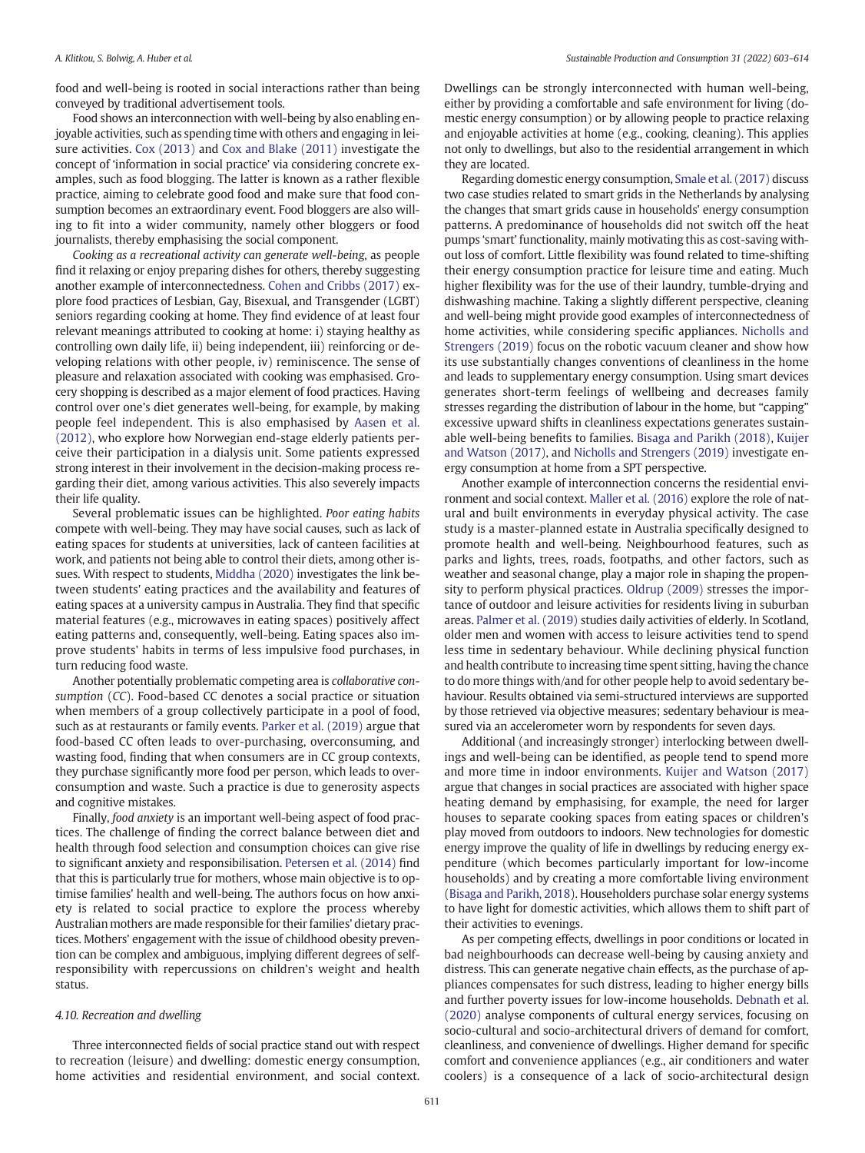food and well-being is rooted in social interactions rather than being conveyed by traditional advertisement tools.

Food shows an interconnection with well-being by also enabling enjoyable activities, such as spending time with others and engaging in leisure activities. [Cox \(2013\)](#page-11-0) and [Cox and Blake \(2011\)](#page-11-0) investigate the concept of 'information in social practice' via considering concrete examples, such as food blogging. The latter is known as a rather flexible practice, aiming to celebrate good food and make sure that food consumption becomes an extraordinary event. Food bloggers are also willing to fit into a wider community, namely other bloggers or food journalists, thereby emphasising the social component.

Cooking as a recreational activity can generate well-being, as people find it relaxing or enjoy preparing dishes for others, thereby suggesting another example of interconnectedness. [Cohen and Cribbs \(2017\)](#page-11-0) explore food practices of Lesbian, Gay, Bisexual, and Transgender (LGBT) seniors regarding cooking at home. They find evidence of at least four relevant meanings attributed to cooking at home: i) staying healthy as controlling own daily life, ii) being independent, iii) reinforcing or developing relations with other people, iv) reminiscence. The sense of pleasure and relaxation associated with cooking was emphasised. Grocery shopping is described as a major element of food practices. Having control over one's diet generates well-being, for example, by making people feel independent. This is also emphasised by [Aasen et al.](#page-11-0) [\(2012\)](#page-11-0), who explore how Norwegian end-stage elderly patients perceive their participation in a dialysis unit. Some patients expressed strong interest in their involvement in the decision-making process regarding their diet, among various activities. This also severely impacts their life quality.

Several problematic issues can be highlighted. Poor eating habits compete with well-being. They may have social causes, such as lack of eating spaces for students at universities, lack of canteen facilities at work, and patients not being able to control their diets, among other issues. With respect to students, [Middha \(2020\)](#page-12-0) investigates the link between students' eating practices and the availability and features of eating spaces at a university campus in Australia. They find that specific material features (e.g., microwaves in eating spaces) positively affect eating patterns and, consequently, well-being. Eating spaces also improve students' habits in terms of less impulsive food purchases, in turn reducing food waste.

Another potentially problematic competing area is collaborative consumption (CC). Food-based CC denotes a social practice or situation when members of a group collectively participate in a pool of food, such as at restaurants or family events. [Parker et al. \(2019\)](#page-12-0) argue that food-based CC often leads to over-purchasing, overconsuming, and wasting food, finding that when consumers are in CC group contexts, they purchase significantly more food per person, which leads to overconsumption and waste. Such a practice is due to generosity aspects and cognitive mistakes.

Finally, food anxiety is an important well-being aspect of food practices. The challenge of finding the correct balance between diet and health through food selection and consumption choices can give rise to significant anxiety and responsibilisation. [Petersen et al. \(2014\)](#page-12-0) find that this is particularly true for mothers, whose main objective is to optimise families' health and well-being. The authors focus on how anxiety is related to social practice to explore the process whereby Australian mothers are made responsible for their families' dietary practices. Mothers' engagement with the issue of childhood obesity prevention can be complex and ambiguous, implying different degrees of selfresponsibility with repercussions on children's weight and health status.

#### 4.10. Recreation and dwelling

Three interconnected fields of social practice stand out with respect to recreation (leisure) and dwelling: domestic energy consumption, home activities and residential environment, and social context. Dwellings can be strongly interconnected with human well-being, either by providing a comfortable and safe environment for living (domestic energy consumption) or by allowing people to practice relaxing and enjoyable activities at home (e.g., cooking, cleaning). This applies not only to dwellings, but also to the residential arrangement in which they are located.

Regarding domestic energy consumption, [Smale et al. \(2017\)](#page-12-0) discuss two case studies related to smart grids in the Netherlands by analysing the changes that smart grids cause in households' energy consumption patterns. A predominance of households did not switch off the heat pumps 'smart' functionality, mainly motivating this as cost-saving without loss of comfort. Little flexibility was found related to time-shifting their energy consumption practice for leisure time and eating. Much higher flexibility was for the use of their laundry, tumble-drying and dishwashing machine. Taking a slightly different perspective, cleaning and well-being might provide good examples of interconnectedness of home activities, while considering specific appliances. [Nicholls and](#page-12-0) [Strengers \(2019\)](#page-12-0) focus on the robotic vacuum cleaner and show how its use substantially changes conventions of cleanliness in the home and leads to supplementary energy consumption. Using smart devices generates short-term feelings of wellbeing and decreases family stresses regarding the distribution of labour in the home, but "capping" excessive upward shifts in cleanliness expectations generates sustainable well-being benefits to families. [Bisaga and Parikh \(2018\),](#page-11-0) [Kuijer](#page-12-0) [and Watson \(2017\),](#page-12-0) and [Nicholls and Strengers \(2019\)](#page-12-0) investigate energy consumption at home from a SPT perspective.

Another example of interconnection concerns the residential environment and social context. [Maller et al. \(2016\)](#page-12-0) explore the role of natural and built environments in everyday physical activity. The case study is a master-planned estate in Australia specifically designed to promote health and well-being. Neighbourhood features, such as parks and lights, trees, roads, footpaths, and other factors, such as weather and seasonal change, play a major role in shaping the propensity to perform physical practices. [Oldrup \(2009\)](#page-12-0) stresses the importance of outdoor and leisure activities for residents living in suburban areas. [Palmer et al. \(2019\)](#page-12-0) studies daily activities of elderly. In Scotland, older men and women with access to leisure activities tend to spend less time in sedentary behaviour. While declining physical function and health contribute to increasing time spent sitting, having the chance to do more things with/and for other people help to avoid sedentary behaviour. Results obtained via semi-structured interviews are supported by those retrieved via objective measures; sedentary behaviour is measured via an accelerometer worn by respondents for seven days.

Additional (and increasingly stronger) interlocking between dwellings and well-being can be identified, as people tend to spend more and more time in indoor environments. [Kuijer and Watson \(2017\)](#page-12-0) argue that changes in social practices are associated with higher space heating demand by emphasising, for example, the need for larger houses to separate cooking spaces from eating spaces or children's play moved from outdoors to indoors. New technologies for domestic energy improve the quality of life in dwellings by reducing energy expenditure (which becomes particularly important for low-income households) and by creating a more comfortable living environment ([Bisaga and Parikh, 2018\)](#page-11-0). Householders purchase solar energy systems to have light for domestic activities, which allows them to shift part of their activities to evenings.

As per competing effects, dwellings in poor conditions or located in bad neighbourhoods can decrease well-being by causing anxiety and distress. This can generate negative chain effects, as the purchase of appliances compensates for such distress, leading to higher energy bills and further poverty issues for low-income households. [Debnath et al.](#page-11-0) [\(2020\)](#page-11-0) analyse components of cultural energy services, focusing on socio-cultural and socio-architectural drivers of demand for comfort, cleanliness, and convenience of dwellings. Higher demand for specific comfort and convenience appliances (e.g., air conditioners and water coolers) is a consequence of a lack of socio-architectural design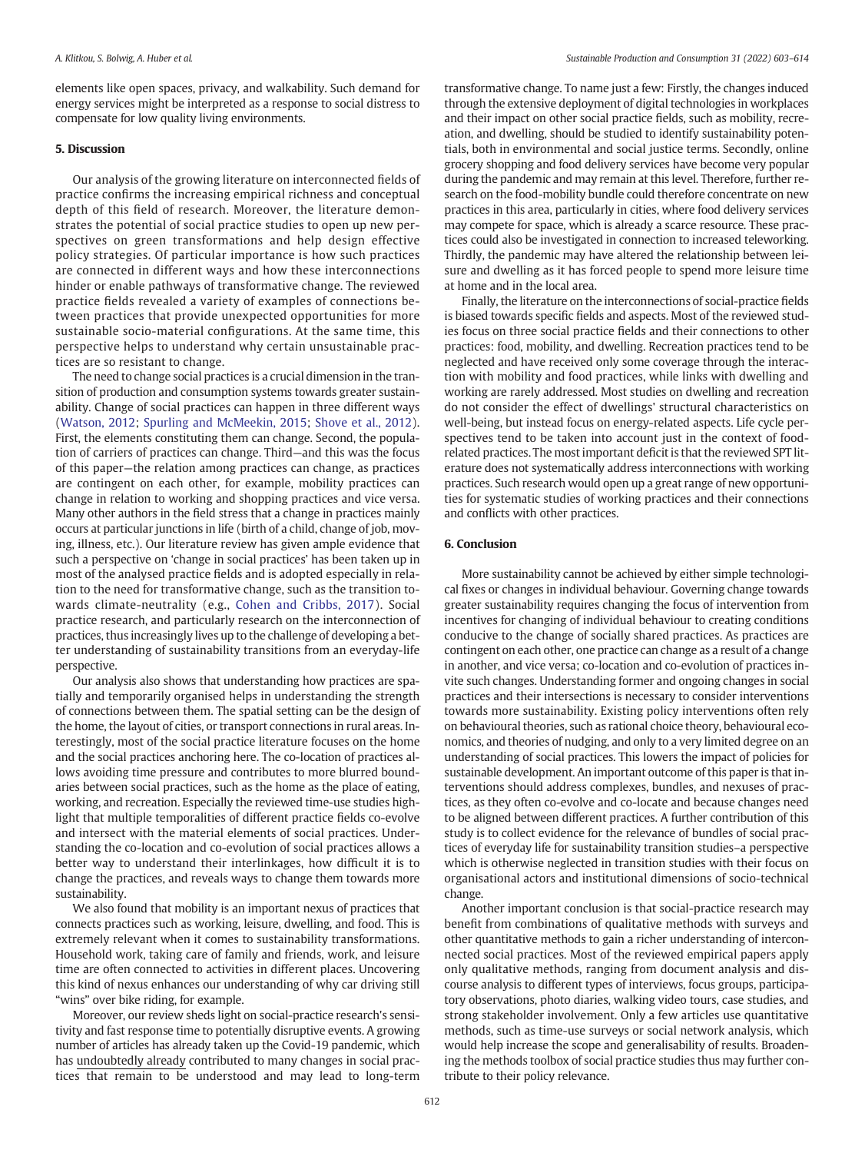<span id="page-10-0"></span>elements like open spaces, privacy, and walkability. Such demand for energy services might be interpreted as a response to social distress to compensate for low quality living environments.

#### 5. Discussion

Our analysis of the growing literature on interconnected fields of practice confirms the increasing empirical richness and conceptual depth of this field of research. Moreover, the literature demonstrates the potential of social practice studies to open up new perspectives on green transformations and help design effective policy strategies. Of particular importance is how such practices are connected in different ways and how these interconnections hinder or enable pathways of transformative change. The reviewed practice fields revealed a variety of examples of connections between practices that provide unexpected opportunities for more sustainable socio-material configurations. At the same time, this perspective helps to understand why certain unsustainable practices are so resistant to change.

The need to change social practices is a crucial dimension in the transition of production and consumption systems towards greater sustainability. Change of social practices can happen in three different ways ([Watson, 2012](#page-12-0); [Spurling and McMeekin, 2015](#page-12-0); [Shove et al., 2012\)](#page-12-0). First, the elements constituting them can change. Second, the population of carriers of practices can change. Third—and this was the focus of this paper—the relation among practices can change, as practices are contingent on each other, for example, mobility practices can change in relation to working and shopping practices and vice versa. Many other authors in the field stress that a change in practices mainly occurs at particular junctions in life (birth of a child, change of job, moving, illness, etc.). Our literature review has given ample evidence that such a perspective on 'change in social practices' has been taken up in most of the analysed practice fields and is adopted especially in relation to the need for transformative change, such as the transition towards climate-neutrality (e.g., [Cohen and Cribbs, 2017](#page-11-0)). Social practice research, and particularly research on the interconnection of practices, thus increasingly lives up to the challenge of developing a better understanding of sustainability transitions from an everyday-life perspective.

Our analysis also shows that understanding how practices are spatially and temporarily organised helps in understanding the strength of connections between them. The spatial setting can be the design of the home, the layout of cities, or transport connections in rural areas. Interestingly, most of the social practice literature focuses on the home and the social practices anchoring here. The co-location of practices allows avoiding time pressure and contributes to more blurred boundaries between social practices, such as the home as the place of eating, working, and recreation. Especially the reviewed time-use studies highlight that multiple temporalities of different practice fields co-evolve and intersect with the material elements of social practices. Understanding the co-location and co-evolution of social practices allows a better way to understand their interlinkages, how difficult it is to change the practices, and reveals ways to change them towards more sustainability.

We also found that mobility is an important nexus of practices that connects practices such as working, leisure, dwelling, and food. This is extremely relevant when it comes to sustainability transformations. Household work, taking care of family and friends, work, and leisure time are often connected to activities in different places. Uncovering this kind of nexus enhances our understanding of why car driving still "wins" over bike riding, for example.

Moreover, our review sheds light on social-practice research's sensitivity and fast response time to potentially disruptive events. A growing number of articles has already taken up the Covid-19 pandemic, which has undoubtedly already contributed to many changes in social practices that remain to be understood and may lead to long-term transformative change. To name just a few: Firstly, the changes induced through the extensive deployment of digital technologies in workplaces and their impact on other social practice fields, such as mobility, recreation, and dwelling, should be studied to identify sustainability potentials, both in environmental and social justice terms. Secondly, online grocery shopping and food delivery services have become very popular during the pandemic and may remain at this level. Therefore, further research on the food-mobility bundle could therefore concentrate on new practices in this area, particularly in cities, where food delivery services may compete for space, which is already a scarce resource. These practices could also be investigated in connection to increased teleworking. Thirdly, the pandemic may have altered the relationship between leisure and dwelling as it has forced people to spend more leisure time at home and in the local area.

Finally, the literature on the interconnections of social-practice fields is biased towards specific fields and aspects. Most of the reviewed studies focus on three social practice fields and their connections to other practices: food, mobility, and dwelling. Recreation practices tend to be neglected and have received only some coverage through the interaction with mobility and food practices, while links with dwelling and working are rarely addressed. Most studies on dwelling and recreation do not consider the effect of dwellings' structural characteristics on well-being, but instead focus on energy-related aspects. Life cycle perspectives tend to be taken into account just in the context of foodrelated practices. The most important deficit is that the reviewed SPT literature does not systematically address interconnections with working practices. Such research would open up a great range of new opportunities for systematic studies of working practices and their connections and conflicts with other practices.

#### 6. Conclusion

More sustainability cannot be achieved by either simple technological fixes or changes in individual behaviour. Governing change towards greater sustainability requires changing the focus of intervention from incentives for changing of individual behaviour to creating conditions conducive to the change of socially shared practices. As practices are contingent on each other, one practice can change as a result of a change in another, and vice versa; co-location and co-evolution of practices invite such changes. Understanding former and ongoing changes in social practices and their intersections is necessary to consider interventions towards more sustainability. Existing policy interventions often rely on behavioural theories, such as rational choice theory, behavioural economics, and theories of nudging, and only to a very limited degree on an understanding of social practices. This lowers the impact of policies for sustainable development. An important outcome of this paper is that interventions should address complexes, bundles, and nexuses of practices, as they often co-evolve and co-locate and because changes need to be aligned between different practices. A further contribution of this study is to collect evidence for the relevance of bundles of social practices of everyday life for sustainability transition studies–a perspective which is otherwise neglected in transition studies with their focus on organisational actors and institutional dimensions of socio-technical change.

Another important conclusion is that social-practice research may benefit from combinations of qualitative methods with surveys and other quantitative methods to gain a richer understanding of interconnected social practices. Most of the reviewed empirical papers apply only qualitative methods, ranging from document analysis and discourse analysis to different types of interviews, focus groups, participatory observations, photo diaries, walking video tours, case studies, and strong stakeholder involvement. Only a few articles use quantitative methods, such as time-use surveys or social network analysis, which would help increase the scope and generalisability of results. Broadening the methods toolbox of social practice studies thus may further contribute to their policy relevance.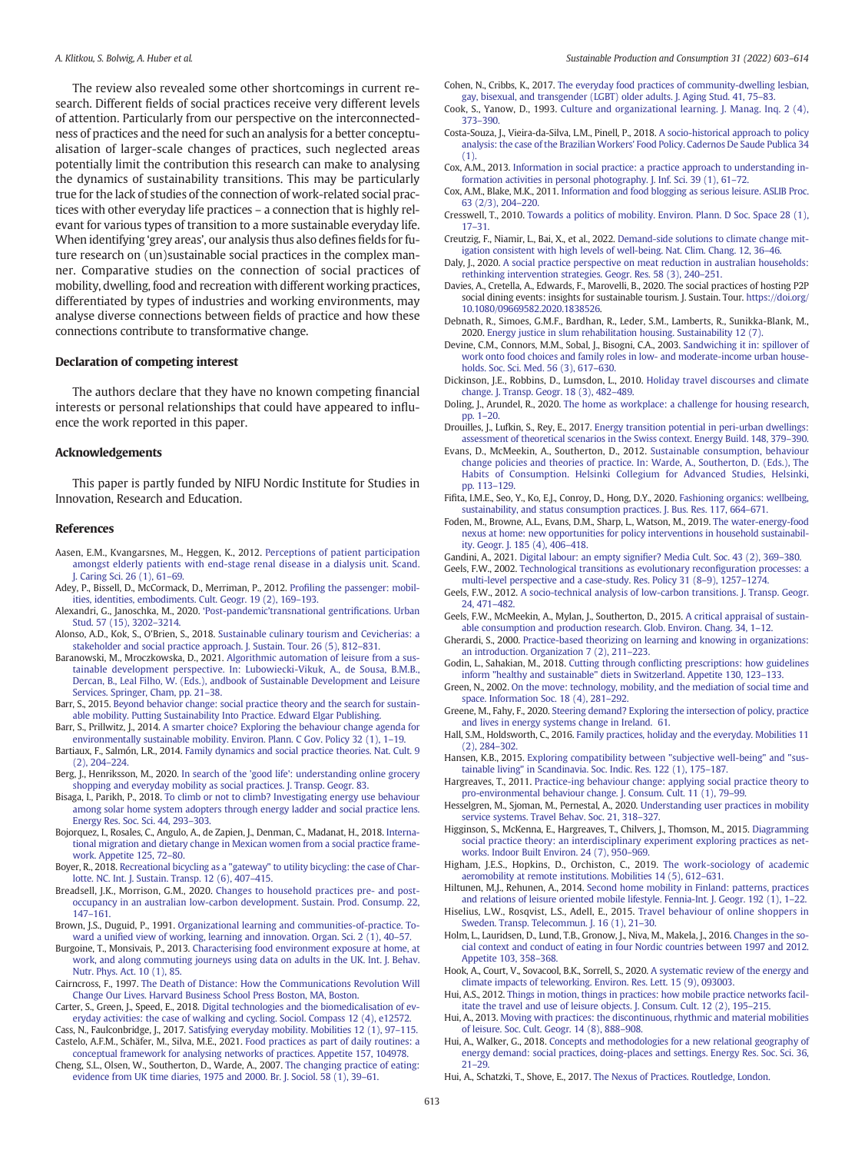<span id="page-11-0"></span>The review also revealed some other shortcomings in current research. Different fields of social practices receive very different levels of attention. Particularly from our perspective on the interconnectedness of practices and the need for such an analysis for a better conceptualisation of larger-scale changes of practices, such neglected areas potentially limit the contribution this research can make to analysing the dynamics of sustainability transitions. This may be particularly true for the lack of studies of the connection of work-related social practices with other everyday life practices – a connection that is highly relevant for various types of transition to a more sustainable everyday life. When identifying 'grey areas', our analysis thus also defines fields for future research on (un)sustainable social practices in the complex manner. Comparative studies on the connection of social practices of mobility, dwelling, food and recreation with different working practices, differentiated by types of industries and working environments, may analyse diverse connections between fields of practice and how these connections contribute to transformative change.

#### Declaration of competing interest

The authors declare that they have no known competing financial interests or personal relationships that could have appeared to influence the work reported in this paper.

#### Acknowledgements

This paper is partly funded by NIFU Nordic Institute for Studies in Innovation, Research and Education.

#### References

- Aasen, E.M., Kvangarsnes, M., Heggen, K., 2012. [Perceptions of patient participation](http://refhub.elsevier.com/S2352-5509(22)00079-3/rf202203242142530552) [amongst elderly patients with end-stage renal disease in a dialysis unit. Scand.](http://refhub.elsevier.com/S2352-5509(22)00079-3/rf202203242142530552) [J. Caring Sci. 26 \(1\), 61](http://refhub.elsevier.com/S2352-5509(22)00079-3/rf202203242142530552)–69.
- Adey, P., Bissell, D., McCormack, D., Merriman, P., 2012. Profi[ling the passenger: mobil](http://refhub.elsevier.com/S2352-5509(22)00079-3/rf202203242329573167)[ities, identities, embodiments. Cult. Geogr. 19 \(2\), 169](http://refhub.elsevier.com/S2352-5509(22)00079-3/rf202203242329573167)–193.
- Alexandri, G., Janoschka, M., 2020. 'Post-pandemic'[transnational gentri](http://refhub.elsevier.com/S2352-5509(22)00079-3/rf202203242141262576)fications. Urban [Stud. 57 \(15\), 3202](http://refhub.elsevier.com/S2352-5509(22)00079-3/rf202203242141262576)–3214.
- Alonso, A.D., Kok, S., O'Brien, S., 2018. [Sustainable culinary tourism and Cevicherias: a](http://refhub.elsevier.com/S2352-5509(22)00079-3/rf202203242141341473) [stakeholder and social practice approach. J. Sustain. Tour. 26 \(5\), 812](http://refhub.elsevier.com/S2352-5509(22)00079-3/rf202203242141341473)–831.
- Baranowski, M., Mroczkowska, D., 2021. [Algorithmic automation of leisure from a sus](http://refhub.elsevier.com/S2352-5509(22)00079-3/rf202203242330431683)[tainable development perspective. In: Lubowiecki-Vikuk, A., de Sousa, B.M.B.,](http://refhub.elsevier.com/S2352-5509(22)00079-3/rf202203242330431683) [Dercan, B., Leal Filho, W. \(Eds.\), andbook of Sustainable Development and Leisure](http://refhub.elsevier.com/S2352-5509(22)00079-3/rf202203242330431683) [Services. Springer, Cham, pp. 21](http://refhub.elsevier.com/S2352-5509(22)00079-3/rf202203242330431683)–38.
- Barr, S., 2015. [Beyond behavior change: social practice theory and the search for sustain](http://refhub.elsevier.com/S2352-5509(22)00079-3/rf202203242142001216)[able mobility. Putting Sustainability Into Practice. Edward Elgar Publishing](http://refhub.elsevier.com/S2352-5509(22)00079-3/rf202203242142001216).
- Barr, S., Prillwitz, J., 2014. [A smarter choice? Exploring the behaviour change agenda for](http://refhub.elsevier.com/S2352-5509(22)00079-3/rf202203242329554682) [environmentally sustainable mobility. Environ. Plann. C Gov. Policy 32 \(1\), 1](http://refhub.elsevier.com/S2352-5509(22)00079-3/rf202203242329554682)–19.
- Bartiaux, F., Salmón, L.R., 2014. [Family dynamics and social practice theories. Nat. Cult. 9](http://refhub.elsevier.com/S2352-5509(22)00079-3/rf202203242142115343) [\(2\), 204](http://refhub.elsevier.com/S2352-5509(22)00079-3/rf202203242142115343)–224.
- Berg, J., Henriksson, M., 2020. [In search of the 'good life': understanding online grocery](http://refhub.elsevier.com/S2352-5509(22)00079-3/rf202203242329389404) [shopping and everyday mobility as social practices. J. Transp. Geogr. 83.](http://refhub.elsevier.com/S2352-5509(22)00079-3/rf202203242329389404)
- Bisaga, I., Parikh, P., 2018. [To climb or not to climb? Investigating energy use behaviour](http://refhub.elsevier.com/S2352-5509(22)00079-3/rf202203242329377961) [among solar home system adopters through energy ladder and social practice lens.](http://refhub.elsevier.com/S2352-5509(22)00079-3/rf202203242329377961) [Energy Res. Soc. Sci. 44, 293](http://refhub.elsevier.com/S2352-5509(22)00079-3/rf202203242329377961)–303.
- Bojorquez, I., Rosales, C., Angulo, A., de Zapien, J., Denman, C., Madanat, H., 2018. [Interna](http://refhub.elsevier.com/S2352-5509(22)00079-3/rf202203242329365534)[tional migration and dietary change in Mexican women from a social practice frame](http://refhub.elsevier.com/S2352-5509(22)00079-3/rf202203242329365534)[work. Appetite 125, 72](http://refhub.elsevier.com/S2352-5509(22)00079-3/rf202203242329365534)–80.
- Boyer, R., 2018. [Recreational bicycling as a "gateway" to utility bicycling: the case of Char](http://refhub.elsevier.com/S2352-5509(22)00079-3/rf202203242142426976)[lotte. NC. Int. J. Sustain. Transp. 12 \(6\), 407](http://refhub.elsevier.com/S2352-5509(22)00079-3/rf202203242142426976)–415.
- Breadsell, J.K., Morrison, G.M., 2020. [Changes to household practices pre- and post](http://refhub.elsevier.com/S2352-5509(22)00079-3/rf202203242329298964)[occupancy in an australian low-carbon development. Sustain. Prod. Consump. 22,](http://refhub.elsevier.com/S2352-5509(22)00079-3/rf202203242329298964) [147](http://refhub.elsevier.com/S2352-5509(22)00079-3/rf202203242329298964)–161.
- Brown, J.S., Duguid, P., 1991. [Organizational learning and communities-of-practice. To](http://refhub.elsevier.com/S2352-5509(22)00079-3/rf202203242329174346)ward a unifi[ed view of working, learning and innovation. Organ. Sci. 2 \(1\), 40](http://refhub.elsevier.com/S2352-5509(22)00079-3/rf202203242329174346)–57.
- Burgoine, T., Monsivais, P., 2013. [Characterising food environment exposure at home, at](http://refhub.elsevier.com/S2352-5509(22)00079-3/rf202203242329128566) [work, and along commuting journeys using data on adults in the UK. Int. J. Behav.](http://refhub.elsevier.com/S2352-5509(22)00079-3/rf202203242329128566) [Nutr. Phys. Act. 10 \(1\), 85.](http://refhub.elsevier.com/S2352-5509(22)00079-3/rf202203242329128566)
- Cairncross, F., 1997. [The Death of Distance: How the Communications Revolution Will](http://refhub.elsevier.com/S2352-5509(22)00079-3/rf202203242339455707) [Change Our Lives. Harvard Business School Press Boston, MA, Boston.](http://refhub.elsevier.com/S2352-5509(22)00079-3/rf202203242339455707)
- Carter, S., Green, J., Speed, E., 2018. [Digital technologies and the biomedicalisation of ev](http://refhub.elsevier.com/S2352-5509(22)00079-3/rf202203242329118056)[eryday activities: the case of walking and cycling. Sociol. Compass 12 \(4\), e12572.](http://refhub.elsevier.com/S2352-5509(22)00079-3/rf202203242329118056)
- Cass, N., Faulconbridge, J., 2017. [Satisfying everyday mobility. Mobilities 12 \(1\), 97](http://refhub.elsevier.com/S2352-5509(22)00079-3/rf202203242329110391)–115. Castelo, A.F.M., Schäfer, M., Silva, M.E., 2021. [Food practices as part of daily routines: a](http://refhub.elsevier.com/S2352-5509(22)00079-3/rf202203242329100859) [conceptual framework for analysing networks of practices. Appetite 157, 104978](http://refhub.elsevier.com/S2352-5509(22)00079-3/rf202203242329100859).
- Cheng, S.L., Olsen, W., Southerton, D., Warde, A., 2007. [The changing practice of eating:](http://refhub.elsevier.com/S2352-5509(22)00079-3/rf202203242329086010) [evidence from UK time diaries, 1975 and 2000. Br. J. Sociol. 58 \(1\), 39](http://refhub.elsevier.com/S2352-5509(22)00079-3/rf202203242329086010)–61.
- Cohen, N., Cribbs, K., 2017. [The everyday food practices of community-dwelling lesbian,](http://refhub.elsevier.com/S2352-5509(22)00079-3/rf202203242329076948) [gay, bisexual, and transgender \(LGBT\) older adults. J. Aging Stud. 41, 75](http://refhub.elsevier.com/S2352-5509(22)00079-3/rf202203242329076948)–83.
- Cook, S., Yanow, D., 1993. [Culture and organizational learning. J. Manag. Inq. 2 \(4\),](http://refhub.elsevier.com/S2352-5509(22)00079-3/rf202203242339478717) [373](http://refhub.elsevier.com/S2352-5509(22)00079-3/rf202203242339478717)–390.
- Costa-Souza, J., Vieira-da-Silva, L.M., Pinell, P., 2018. [A socio-historical approach to policy](http://refhub.elsevier.com/S2352-5509(22)00079-3/rf5010) [analysis: the case of the Brazilian Workers' Food Policy. Cadernos De Saude Publica 34](http://refhub.elsevier.com/S2352-5509(22)00079-3/rf5010)  $(1)$
- Cox, A.M., 2013. [Information in social practice: a practice approach to understanding in](http://refhub.elsevier.com/S2352-5509(22)00079-3/rf202203242329066457)[formation activities in personal photography. J. Inf. Sci. 39 \(1\), 61](http://refhub.elsevier.com/S2352-5509(22)00079-3/rf202203242329066457)–72.
- Cox, A.M., Blake, M.K., 2011. [Information and food blogging as serious leisure. ASLIB Proc.](http://refhub.elsevier.com/S2352-5509(22)00079-3/rf202203242329057373) [63 \(2/3\), 204](http://refhub.elsevier.com/S2352-5509(22)00079-3/rf202203242329057373)–220.
- Cresswell, T., 2010. [Towards a politics of mobility. Environ. Plann. D Soc. Space 28 \(1\),](http://refhub.elsevier.com/S2352-5509(22)00079-3/rf202203242329048361) 17–[31.](http://refhub.elsevier.com/S2352-5509(22)00079-3/rf202203242329048361)
- Creutzig, F., Niamir, L., Bai, X., et al., 2022. [Demand-side solutions to climate change mit](http://refhub.elsevier.com/S2352-5509(22)00079-3/rf202203242328412403)[igation consistent with high levels of well-being. Nat. Clim. Chang. 12, 36](http://refhub.elsevier.com/S2352-5509(22)00079-3/rf202203242328412403)–46.
- Daly, J., 2020. [A social practice perspective on meat reduction in australian households:](http://refhub.elsevier.com/S2352-5509(22)00079-3/rf202203242328403873) [rethinking intervention strategies. Geogr. Res. 58 \(3\), 240](http://refhub.elsevier.com/S2352-5509(22)00079-3/rf202203242328403873)–251.
- Davies, A., Cretella, A., Edwards, F., Marovelli, B., 2020. The social practices of hosting P2P social dining events: insights for sustainable tourism. J. Sustain. Tour. [https://doi.org/](https://doi.org/10.1080/09669582.2020.1838526) [10.1080/09669582.2020.1838526](https://doi.org/10.1080/09669582.2020.1838526).
- Debnath, R., Simoes, G.M.F., Bardhan, R., Leder, S.M., Lamberts, R., Sunikka-Blank, M., 2020. [Energy justice in slum rehabilitation housing. Sustainability 12 \(7\)](http://refhub.elsevier.com/S2352-5509(22)00079-3/rf202203242328370944).
- Devine, C.M., Connors, M.M., Sobal, J., Bisogni, C.A., 2003. [Sandwiching it in: spillover of](http://refhub.elsevier.com/S2352-5509(22)00079-3/rf202203242330194324) [work onto food choices and family roles in low- and moderate-income urban house](http://refhub.elsevier.com/S2352-5509(22)00079-3/rf202203242330194324)[holds. Soc. Sci. Med. 56 \(3\), 617](http://refhub.elsevier.com/S2352-5509(22)00079-3/rf202203242330194324)–630.
- Dickinson, J.E., Robbins, D., Lumsdon, L., 2010. [Holiday travel discourses and climate](http://refhub.elsevier.com/S2352-5509(22)00079-3/rf202203242328356008) [change. J. Transp. Geogr. 18 \(3\), 482](http://refhub.elsevier.com/S2352-5509(22)00079-3/rf202203242328356008)–489.
- Doling, J., Arundel, R., 2020. [The home as workplace: a challenge for housing research,](http://refhub.elsevier.com/S2352-5509(22)00079-3/rf202203242343152768) [pp. 1](http://refhub.elsevier.com/S2352-5509(22)00079-3/rf202203242343152768)–20.
- Drouilles, J., Lufkin, S., Rey, E., 2017. [Energy transition potential in peri-urban dwellings:](http://refhub.elsevier.com/S2352-5509(22)00079-3/rf202203242328346711) [assessment of theoretical scenarios in the Swiss context. Energy Build. 148, 379](http://refhub.elsevier.com/S2352-5509(22)00079-3/rf202203242328346711)–390.
- Evans, D., McMeekin, A., Southerton, D., 2012. [Sustainable consumption, behaviour](http://refhub.elsevier.com/S2352-5509(22)00079-3/rf202203242343430335) [change policies and theories of practice. In: Warde, A., Southerton, D. \(Eds.\), The](http://refhub.elsevier.com/S2352-5509(22)00079-3/rf202203242343430335) [Habits of Consumption. Helsinki Collegium for Advanced Studies, Helsinki,](http://refhub.elsevier.com/S2352-5509(22)00079-3/rf202203242343430335) [pp. 113](http://refhub.elsevier.com/S2352-5509(22)00079-3/rf202203242343430335)–129.
- Fifita, I.M.E., Seo, Y., Ko, E.J., Conroy, D., Hong, D.Y., 2020. [Fashioning organics: wellbeing,](http://refhub.elsevier.com/S2352-5509(22)00079-3/rf202203242344106707) [sustainability, and status consumption practices. J. Bus. Res. 117, 664](http://refhub.elsevier.com/S2352-5509(22)00079-3/rf202203242344106707)–671.
- Foden, M., Browne, A.L., Evans, D.M., Sharp, L., Watson, M., 2019. [The water-energy-food](http://refhub.elsevier.com/S2352-5509(22)00079-3/rf202203242328238894) [nexus at home: new opportunities for policy interventions in household sustainabil](http://refhub.elsevier.com/S2352-5509(22)00079-3/rf202203242328238894)[ity. Geogr. J. 185 \(4\), 406](http://refhub.elsevier.com/S2352-5509(22)00079-3/rf202203242328238894)–418.
- Gandini, A., 2021. Digital labour: an empty signifi[er? Media Cult. Soc. 43 \(2\), 369](http://refhub.elsevier.com/S2352-5509(22)00079-3/rf202203242328223012)–380. Geels, F.W., 2002. [Technological transitions as evolutionary recon](http://refhub.elsevier.com/S2352-5509(22)00079-3/rf202203242328138404)figuration processes: a
- [multi-level perspective and a case-study. Res. Policy 31 \(8](http://refhub.elsevier.com/S2352-5509(22)00079-3/rf202203242328138404)–9), 1257–1274.
- Geels, F.W., 2012. [A socio-technical analysis of low-carbon transitions. J. Transp. Geogr.](http://refhub.elsevier.com/S2352-5509(22)00079-3/rf202203242328128239) [24, 471](http://refhub.elsevier.com/S2352-5509(22)00079-3/rf202203242328128239)–482.
- Geels, F.W., McMeekin, A., Mylan, J., Southerton, D., 2015. [A critical appraisal of sustain](http://refhub.elsevier.com/S2352-5509(22)00079-3/rf202203242344126392)[able consumption and production research. Glob. Environ. Chang. 34, 1](http://refhub.elsevier.com/S2352-5509(22)00079-3/rf202203242344126392)–12.
- Gherardi, S., 2000. [Practice-based theorizing on learning and knowing in organizations:](http://refhub.elsevier.com/S2352-5509(22)00079-3/rf202203242328120252) [an introduction. Organization 7 \(2\), 211](http://refhub.elsevier.com/S2352-5509(22)00079-3/rf202203242328120252)–223.
- Godin, L., Sahakian, M., 2018. Cutting through confl[icting prescriptions: how guidelines](http://refhub.elsevier.com/S2352-5509(22)00079-3/rf202203242328106269) [inform "healthy and sustainable" diets in Switzerland. Appetite 130, 123](http://refhub.elsevier.com/S2352-5509(22)00079-3/rf202203242328106269)–133.
- Green, N., 2002. [On the move: technology, mobility, and the mediation of social time and](http://refhub.elsevier.com/S2352-5509(22)00079-3/rf202203242344193199) [space. Information Soc. 18 \(4\), 281](http://refhub.elsevier.com/S2352-5509(22)00079-3/rf202203242344193199)–292.
- Greene, M., Fahy, F., 2020. [Steering demand? Exploring the intersection of policy, practice](http://refhub.elsevier.com/S2352-5509(22)00079-3/rf202203242346516835) [and lives in energy systems change in Ireland. 61](http://refhub.elsevier.com/S2352-5509(22)00079-3/rf202203242346516835).
- Hall, S.M., Holdsworth, C., 2016. [Family practices, holiday and the everyday. Mobilities 11](http://refhub.elsevier.com/S2352-5509(22)00079-3/rf202203242328077771) [\(2\), 284](http://refhub.elsevier.com/S2352-5509(22)00079-3/rf202203242328077771)–302.
- Hansen, K.B., 2015. [Exploring compatibility between "subjective well-being" and "sus](http://refhub.elsevier.com/S2352-5509(22)00079-3/rf202203242328068035)[tainable living" in Scandinavia. Soc. Indic. Res. 122 \(1\), 175](http://refhub.elsevier.com/S2352-5509(22)00079-3/rf202203242328068035)–187.
- Hargreaves, T., 2011. [Practice-ing behaviour change: applying social practice theory to](http://refhub.elsevier.com/S2352-5509(22)00079-3/rf202203242328006478) [pro-environmental behaviour change. J. Consum. Cult. 11 \(1\), 79](http://refhub.elsevier.com/S2352-5509(22)00079-3/rf202203242328006478)–99.
- Hesselgren, M., Sjoman, M., Pernestal, A., 2020. [Understanding user practices in mobility](http://refhub.elsevier.com/S2352-5509(22)00079-3/rf202203242327592833) [service systems. Travel Behav. Soc. 21, 318](http://refhub.elsevier.com/S2352-5509(22)00079-3/rf202203242327592833)–327.
- Higginson, S., McKenna, E., Hargreaves, T., Chilvers, J., Thomson, M., 2015. [Diagramming](http://refhub.elsevier.com/S2352-5509(22)00079-3/rf202203242327580791) [social practice theory: an interdisciplinary experiment exploring practices as net](http://refhub.elsevier.com/S2352-5509(22)00079-3/rf202203242327580791)[works. Indoor Built Environ. 24 \(7\), 950](http://refhub.elsevier.com/S2352-5509(22)00079-3/rf202203242327580791)–969.
- Higham, J.E.S., Hopkins, D., Orchiston, C., 2019. [The work-sociology of academic](http://refhub.elsevier.com/S2352-5509(22)00079-3/rf202203242327516946) [aeromobility at remote institutions. Mobilities 14 \(5\), 612](http://refhub.elsevier.com/S2352-5509(22)00079-3/rf202203242327516946)–631.
- Hiltunen, M.J., Rehunen, A., 2014. [Second home mobility in Finland: patterns, practices](http://refhub.elsevier.com/S2352-5509(22)00079-3/rf202203242327507209) [and relations of leisure oriented mobile lifestyle. Fennia-Int. J. Geogr. 192 \(1\), 1](http://refhub.elsevier.com/S2352-5509(22)00079-3/rf202203242327507209)–22.
- Hiselius, L.W., Rosqvist, L.S., Adell, E., 2015. [Travel behaviour of online shoppers in](http://refhub.elsevier.com/S2352-5509(22)00079-3/rf202203242327391108) [Sweden. Transp. Telecommun. J. 16 \(1\), 21](http://refhub.elsevier.com/S2352-5509(22)00079-3/rf202203242327391108)–30.
- Holm, L., Lauridsen, D., Lund, T.B., Gronow, J., Niva, M., Makela, J., 2016. [Changes in the so](http://refhub.elsevier.com/S2352-5509(22)00079-3/rf202203242327205943)[cial context and conduct of eating in four Nordic countries between 1997 and 2012.](http://refhub.elsevier.com/S2352-5509(22)00079-3/rf202203242327205943) [Appetite 103, 358](http://refhub.elsevier.com/S2352-5509(22)00079-3/rf202203242327205943)–368.
- Hook, A., Court, V., Sovacool, B.K., Sorrell, S., 2020. [A systematic review of the energy and](http://refhub.elsevier.com/S2352-5509(22)00079-3/rf202203242327142088) [climate impacts of teleworking. Environ. Res. Lett. 15 \(9\), 093003.](http://refhub.elsevier.com/S2352-5509(22)00079-3/rf202203242327142088)
- Hui, A.S., 2012. [Things in motion, things in practices: how mobile practice networks facil](http://refhub.elsevier.com/S2352-5509(22)00079-3/rf202203242347164711)[itate the travel and use of leisure objects. J. Consum. Cult. 12 \(2\), 195](http://refhub.elsevier.com/S2352-5509(22)00079-3/rf202203242347164711)–215.
- Hui, A., 2013. [Moving with practices: the discontinuous, rhythmic and material mobilities](http://refhub.elsevier.com/S2352-5509(22)00079-3/rf202203242327131644) [of leisure. Soc. Cult. Geogr. 14 \(8\), 888](http://refhub.elsevier.com/S2352-5509(22)00079-3/rf202203242327131644)–908.
- Hui, A., Walker, G., 2018. [Concepts and methodologies for a new relational geography of](http://refhub.elsevier.com/S2352-5509(22)00079-3/rf202203242327124300) [energy demand: social practices, doing-places and settings. Energy Res. Soc. Sci. 36,](http://refhub.elsevier.com/S2352-5509(22)00079-3/rf202203242327124300) 21–[29.](http://refhub.elsevier.com/S2352-5509(22)00079-3/rf202203242327124300)
- Hui, A., Schatzki, T., Shove, E., 2017. [The Nexus of Practices. Routledge, London](http://refhub.elsevier.com/S2352-5509(22)00079-3/rf202203242347083512).